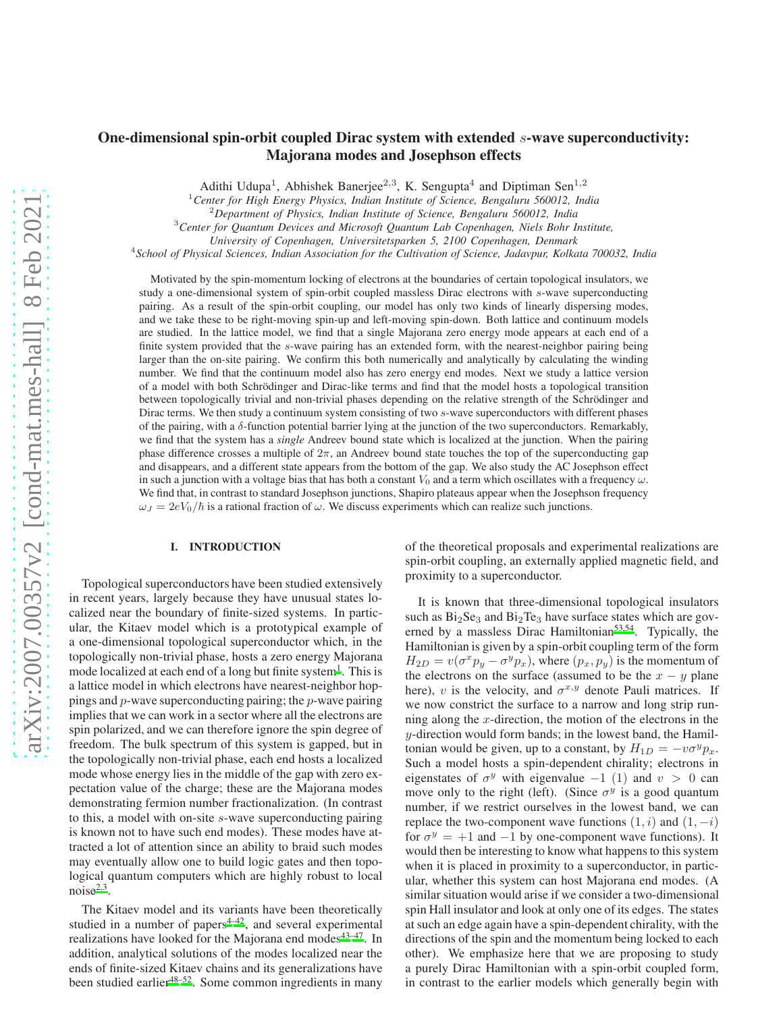# One-dimensional spin-orbit coupled Dirac system with extended s-wave superconductivity: Majorana modes and Josephson effects

Adithi Udupa<sup>1</sup>, Abhishek Banerjee<sup>2,3</sup>, K. Sengupta<sup>4</sup> and Diptiman Sen<sup>1,2</sup>

<sup>1</sup>*Center for High Energy Physics, Indian Institute of Science, Bengaluru 560012, India*

<sup>2</sup>*Department of Physics, Indian Institute of Science, Bengaluru 560012, India*

<sup>3</sup>*Center for Quantum Devices and Microsoft Quantum Lab Copenhagen, Niels Bohr Institute,*

*University of Copenhagen, Universitetsparken 5, 2100 Copenhagen, Denmark*

4 *School of Physical Sciences, Indian Association for the Cultivation of Science, Jadavpur, Kolkata 700032, India*

Motivated by the spin-momentum locking of electrons at the boundaries of certain topological insulators, we study a one-dimensional system of spin-orbit coupled massless Dirac electrons with s-wave superconducting pairing. As a result of the spin-orbit coupling, our model has only two kinds of linearly dispersing modes, and we take these to be right-moving spin-up and left-moving spin-down. Both lattice and continuum models are studied. In the lattice model, we find that a single Majorana zero energy mode appears at each end of a finite system provided that the s-wave pairing has an extended form, with the nearest-neighbor pairing being larger than the on-site pairing. We confirm this both numerically and analytically by calculating the winding number. We find that the continuum model also has zero energy end modes. Next we study a lattice version of a model with both Schrödinger and Dirac-like terms and find that the model hosts a topological transition between topologically trivial and non-trivial phases depending on the relative strength of the Schrödinger and Dirac terms. We then study a continuum system consisting of two s-wave superconductors with different phases of the pairing, with a δ-function potential barrier lying at the junction of the two superconductors. Remarkably, we find that the system has a *single* Andreev bound state which is localized at the junction. When the pairing phase difference crosses a multiple of  $2\pi$ , an Andreev bound state touches the top of the superconducting gap and disappears, and a different state appears from the bottom of the gap. We also study the AC Josephson effect in such a junction with a voltage bias that has both a constant  $V_0$  and a term which oscillates with a frequency  $\omega$ . We find that, in contrast to standard Josephson junctions, Shapiro plateaus appear when the Josephson frequency  $\omega_J = 2eV_0/\hbar$  is a rational fraction of  $\omega$ . We discuss experiments which can realize such junctions.

# I. INTRODUCTION

Topological superconductors have been studied extensively in recent years, largely because they have unusual states localized near the boundary of finite-sized systems. In particular, the Kitaev model which is a prototypical example of a one-dimensional topological superconductor which, in the topologically non-trivial phase, hosts a zero energy Majorana mode localized at each end of a long but finite system<sup>[1](#page-14-0)</sup>. This is a lattice model in which electrons have nearest-neighbor hoppings and p-wave superconducting pairing; the p-wave pairing implies that we can work in a sector where all the electrons are spin polarized, and we can therefore ignore the spin degree of freedom. The bulk spectrum of this system is gapped, but in the topologically non-trivial phase, each end hosts a localized mode whose energy lies in the middle of the gap with zero expectation value of the charge; these are the Majorana modes demonstrating fermion number fractionalization. (In contrast to this, a model with on-site s-wave superconducting pairing is known not to have such end modes). These modes have attracted a lot of attention since an ability to braid such modes may eventually allow one to build logic gates and then topological quantum computers which are highly robust to local noise $^{2,3}$  $^{2,3}$  $^{2,3}$  $^{2,3}$ .

The Kitaev model and its variants have been theoretically studied in a number of papers $4-42$  $4-42$ , and several experimental realizations have looked for the Majorana end modes $43-47$  $43-47$ . In addition, analytical solutions of the modes localized near the ends of finite-sized Kitaev chains and its generalizations have been studied earlier<sup>[48](#page-14-7)[–52](#page-14-8)</sup>. Some common ingredients in many of the theoretical proposals and experimental realizations are spin-orbit coupling, an externally applied magnetic field, and proximity to a superconductor.

It is known that three-dimensional topological insulators such as  $Bi<sub>2</sub>Se<sub>3</sub>$  and  $Bi<sub>2</sub>Te<sub>3</sub>$  have surface states which are gov-erned by a massless Dirac Hamiltonian<sup>[53](#page-14-9)[,54](#page-14-10)</sup>. Typically, the Hamiltonian is given by a spin-orbit coupling term of the form  $H_{2D} = v(\sigma^x p_y - \sigma^y p_x)$ , where  $(p_x, p_y)$  is the momentum of the electrons on the surface (assumed to be the  $x - y$  plane here), v is the velocity, and  $\sigma^{x,y}$  denote Pauli matrices. If we now constrict the surface to a narrow and long strip running along the x-direction, the motion of the electrons in the y-direction would form bands; in the lowest band, the Hamiltonian would be given, up to a constant, by  $H_{1D} = -v\sigma^y p_x$ . Such a model hosts a spin-dependent chirality; electrons in eigenstates of  $\sigma^y$  with eigenvalue −1 (1) and  $v > 0$  can move only to the right (left). (Since  $\sigma^y$  is a good quantum number, if we restrict ourselves in the lowest band, we can replace the two-component wave functions  $(1, i)$  and  $(1, -i)$ for  $\sigma^y = +1$  and  $-1$  by one-component wave functions). It would then be interesting to know what happens to this system when it is placed in proximity to a superconductor, in particular, whether this system can host Majorana end modes. (A similar situation would arise if we consider a two-dimensional spin Hall insulator and look at only one of its edges. The states at such an edge again have a spin-dependent chirality, with the directions of the spin and the momentum being locked to each other). We emphasize here that we are proposing to study a purely Dirac Hamiltonian with a spin-orbit coupled form, in contrast to the earlier models which generally begin with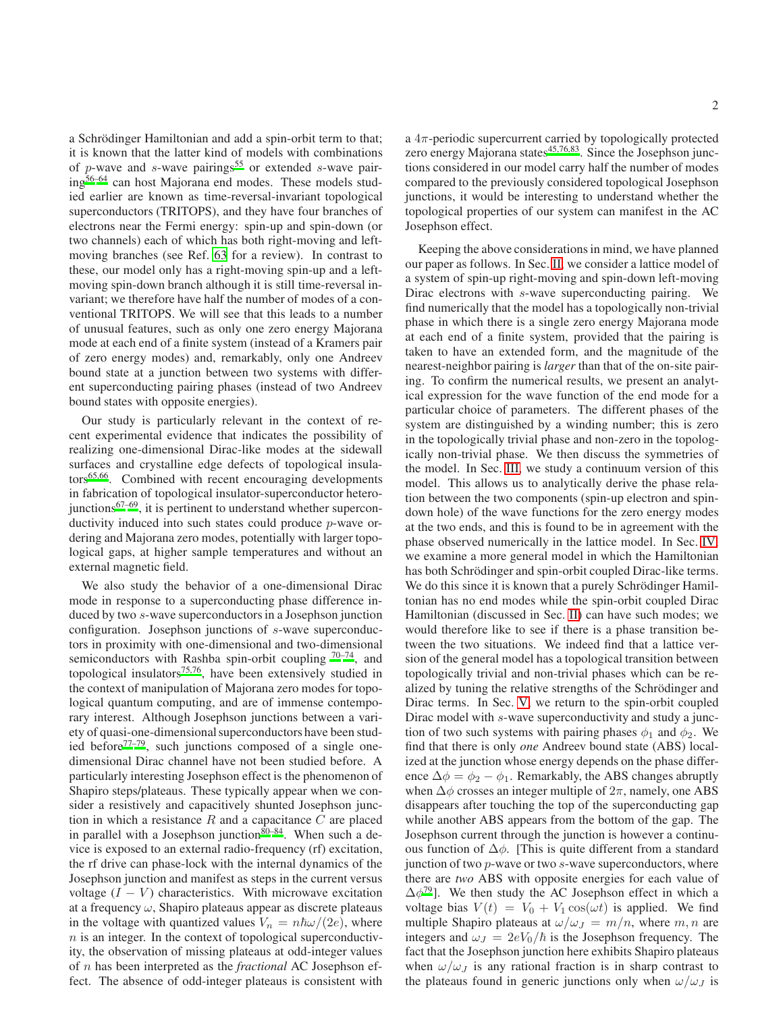a Schrödinger Hamiltonian and add a spin-orbit term to that; it is known that the latter kind of models with combinations of p-wave and s-wave pairings<sup>[55](#page-14-11)</sup> or extended s-wave pairing[56](#page-14-12)[–64](#page-14-13) can host Majorana end modes. These models studied earlier are known as time-reversal-invariant topological superconductors (TRITOPS), and they have four branches of electrons near the Fermi energy: spin-up and spin-down (or two channels) each of which has both right-moving and leftmoving branches (see Ref. [63](#page-14-14) for a review). In contrast to these, our model only has a right-moving spin-up and a leftmoving spin-down branch although it is still time-reversal invariant; we therefore have half the number of modes of a conventional TRITOPS. We will see that this leads to a number of unusual features, such as only one zero energy Majorana mode at each end of a finite system (instead of a Kramers pair of zero energy modes) and, remarkably, only one Andreev bound state at a junction between two systems with different superconducting pairing phases (instead of two Andreev bound states with opposite energies).

Our study is particularly relevant in the context of recent experimental evidence that indicates the possibility of realizing one-dimensional Dirac-like modes at the sidewall surfaces and crystalline edge defects of topological insula-tors<sup>[65](#page-15-0)[,66](#page-15-1)</sup>. Combined with recent encouraging developments in fabrication of topological insulator-superconductor heterojunctions $67-69$  $67-69$ , it is pertinent to understand whether superconductivity induced into such states could produce p-wave ordering and Majorana zero modes, potentially with larger topological gaps, at higher sample temperatures and without an external magnetic field.

We also study the behavior of a one-dimensional Dirac mode in response to a superconducting phase difference induced by two s-wave superconductors in a Josephson junction configuration. Josephson junctions of s-wave superconductors in proximity with one-dimensional and two-dimensional semiconductors with Rashba spin-orbit coupling  $70-74$  $70-74$ , and topological insulators<sup>[75](#page-15-6)[,76](#page-15-7)</sup>, have been extensively studied in the context of manipulation of Majorana zero modes for topological quantum computing, and are of immense contemporary interest. Although Josephson junctions between a variety of quasi-one-dimensional superconductors have been studied before<sup> $77-79$  $77-79$ </sup>, such junctions composed of a single onedimensional Dirac channel have not been studied before. A particularly interesting Josephson effect is the phenomenon of Shapiro steps/plateaus. These typically appear when we consider a resistively and capacitively shunted Josephson junction in which a resistance  $R$  and a capacitance  $C$  are placed in parallel with a Josephson junction $80-84$  $80-84$ . When such a device is exposed to an external radio-frequency (rf) excitation, the rf drive can phase-lock with the internal dynamics of the Josephson junction and manifest as steps in the current versus voltage  $(I - V)$  characteristics. With microwave excitation at a frequency  $\omega$ , Shapiro plateaus appear as discrete plateaus in the voltage with quantized values  $V_n = n\hbar\omega/(2e)$ , where  $n$  is an integer. In the context of topological superconductivity, the observation of missing plateaus at odd-integer values of n has been interpreted as the *fractional* AC Josephson effect. The absence of odd-integer plateaus is consistent with

a  $4\pi$ -periodic supercurrent carried by topologically protected zero energy Majorana states $45,76,83$  $45,76,83$  $45,76,83$ . Since the Josephson junctions considered in our model carry half the number of modes compared to the previously considered topological Josephson junctions, it would be interesting to understand whether the topological properties of our system can manifest in the AC Josephson effect.

Keeping the above considerations in mind, we have planned our paper as follows. In Sec. [II,](#page-2-0) we consider a lattice model of a system of spin-up right-moving and spin-down left-moving Dirac electrons with s-wave superconducting pairing. We find numerically that the model has a topologically non-trivial phase in which there is a single zero energy Majorana mode at each end of a finite system, provided that the pairing is taken to have an extended form, and the magnitude of the nearest-neighbor pairing is *larger* than that of the on-site pairing. To confirm the numerical results, we present an analytical expression for the wave function of the end mode for a particular choice of parameters. The different phases of the system are distinguished by a winding number; this is zero in the topologically trivial phase and non-zero in the topologically non-trivial phase. We then discuss the symmetries of the model. In Sec. [III,](#page-7-0) we study a continuum version of this model. This allows us to analytically derive the phase relation between the two components (spin-up electron and spindown hole) of the wave functions for the zero energy modes at the two ends, and this is found to be in agreement with the phase observed numerically in the lattice model. In Sec. [IV,](#page-8-0) we examine a more general model in which the Hamiltonian has both Schrödinger and spin-orbit coupled Dirac-like terms. We do this since it is known that a purely Schrödinger Hamiltonian has no end modes while the spin-orbit coupled Dirac Hamiltonian (discussed in Sec. [II\)](#page-2-0) can have such modes; we would therefore like to see if there is a phase transition between the two situations. We indeed find that a lattice version of the general model has a topological transition between topologically trivial and non-trivial phases which can be realized by tuning the relative strengths of the Schrödinger and Dirac terms. In Sec. [V,](#page-9-0) we return to the spin-orbit coupled Dirac model with s-wave superconductivity and study a junction of two such systems with pairing phases  $\phi_1$  and  $\phi_2$ . We find that there is only *one* Andreev bound state (ABS) localized at the junction whose energy depends on the phase difference  $\Delta \phi = \phi_2 - \phi_1$ . Remarkably, the ABS changes abruptly when  $\Delta\phi$  crosses an integer multiple of  $2\pi$ , namely, one ABS disappears after touching the top of the superconducting gap while another ABS appears from the bottom of the gap. The Josephson current through the junction is however a continuous function of  $\Delta \phi$ . [This is quite different from a standard junction of two  $p$ -wave or two  $s$ -wave superconductors, where there are *two* ABS with opposite energies for each value of  $\Delta \phi^{79}$  $\Delta \phi^{79}$  $\Delta \phi^{79}$ ]. We then study the AC Josephson effect in which a voltage bias  $V(t) = V_0 + V_1 \cos(\omega t)$  is applied. We find multiple Shapiro plateaus at  $\omega/\omega_J = m/n$ , where m, n are integers and  $\omega_J = 2eV_0/\hbar$  is the Josephson frequency. The fact that the Josephson junction here exhibits Shapiro plateaus when  $\omega/\omega_J$  is any rational fraction is in sharp contrast to the plateaus found in generic junctions only when  $\omega/\omega_J$  is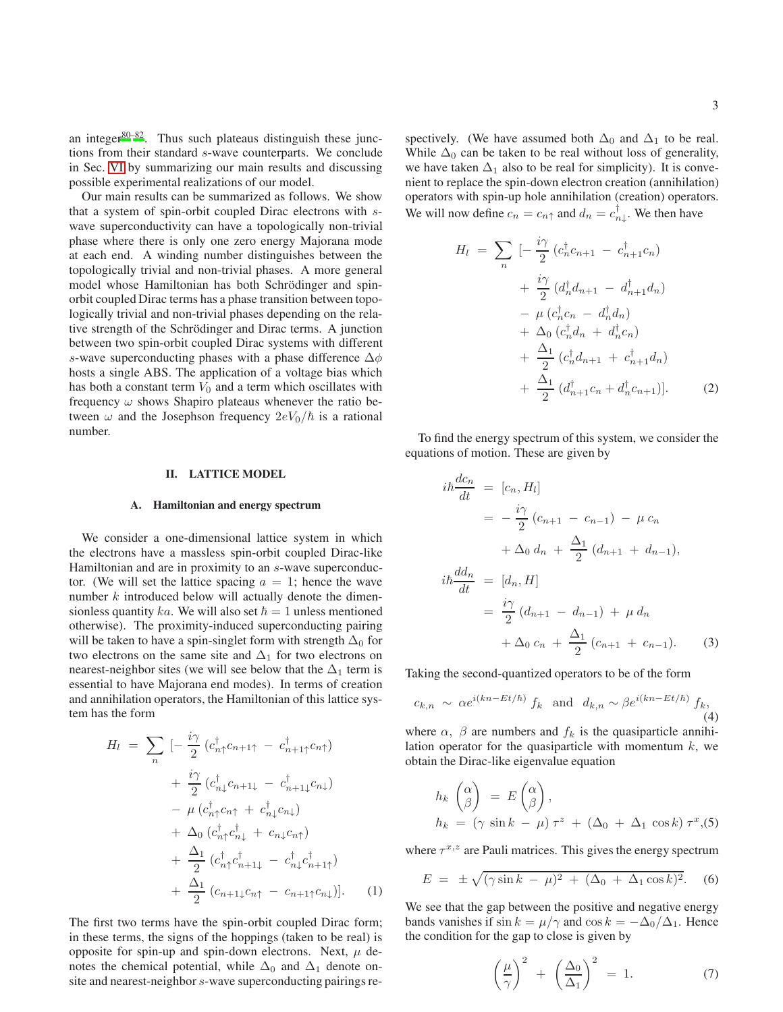an integer $80-82$  $80-82$ . Thus such plateaus distinguish these junctions from their standard s-wave counterparts. We conclude in Sec. [VI](#page-12-0) by summarizing our main results and discussing possible experimental realizations of our model.

Our main results can be summarized as follows. We show that a system of spin-orbit coupled Dirac electrons with swave superconductivity can have a topologically non-trivial phase where there is only one zero energy Majorana mode at each end. A winding number distinguishes between the topologically trivial and non-trivial phases. A more general model whose Hamiltonian has both Schrödinger and spinorbit coupled Dirac terms has a phase transition between topologically trivial and non-trivial phases depending on the relative strength of the Schrödinger and Dirac terms. A junction between two spin-orbit coupled Dirac systems with different s-wave superconducting phases with a phase difference  $\Delta \phi$ hosts a single ABS. The application of a voltage bias which has both a constant term  $V_0$  and a term which oscillates with frequency  $\omega$  shows Shapiro plateaus whenever the ratio between  $\omega$  and the Josephson frequency  $2eV_0/\hbar$  is a rational number.

#### <span id="page-2-0"></span>II. LATTICE MODEL

### A. Hamiltonian and energy spectrum

We consider a one-dimensional lattice system in which the electrons have a massless spin-orbit coupled Dirac-like Hamiltonian and are in proximity to an s-wave superconductor. (We will set the lattice spacing  $a = 1$ ; hence the wave number k introduced below will actually denote the dimensionless quantity ka. We will also set  $\hbar = 1$  unless mentioned otherwise). The proximity-induced superconducting pairing will be taken to have a spin-singlet form with strength  $\Delta_0$  for two electrons on the same site and  $\Delta_1$  for two electrons on nearest-neighbor sites (we will see below that the  $\Delta_1$  term is essential to have Majorana end modes). In terms of creation and annihilation operators, the Hamiltonian of this lattice system has the form

<span id="page-2-4"></span>
$$
H_{l} = \sum_{n} \left[ -\frac{i\gamma}{2} \left( c_{n\uparrow}^{\dagger} c_{n+1\uparrow} - c_{n+1\uparrow}^{\dagger} c_{n\uparrow} \right) \right. \\ \left. + \frac{i\gamma}{2} \left( c_{n\downarrow}^{\dagger} c_{n+1\downarrow} - c_{n+1\downarrow}^{\dagger} c_{n\downarrow} \right) \right. \\ \left. - \mu \left( c_{n\uparrow}^{\dagger} c_{n\uparrow} + c_{n\downarrow}^{\dagger} c_{n\downarrow} \right) \\ \left. + \Delta_{0} \left( c_{n\uparrow}^{\dagger} c_{n\downarrow}^{\dagger} + c_{n\downarrow} c_{n\uparrow} \right) \right. \\ \left. + \frac{\Delta_{1}}{2} \left( c_{n\uparrow}^{\dagger} c_{n+1\downarrow}^{\dagger} - c_{n\downarrow}^{\dagger} c_{n+1\uparrow}^{\dagger} \right) \right. \\ \left. + \frac{\Delta_{1}}{2} \left( c_{n+1\downarrow} c_{n\uparrow} - c_{n+1\uparrow} c_{n\downarrow} \right) \right]. \tag{1}
$$

The first two terms have the spin-orbit coupled Dirac form; in these terms, the signs of the hoppings (taken to be real) is opposite for spin-up and spin-down electrons. Next,  $\mu$  denotes the chemical potential, while  $\Delta_0$  and  $\Delta_1$  denote onsite and nearest-neighbor s-wave superconducting pairings re-

spectively. (We have assumed both  $\Delta_0$  and  $\Delta_1$  to be real. While  $\Delta_0$  can be taken to be real without loss of generality, we have taken  $\Delta_1$  also to be real for simplicity). It is convenient to replace the spin-down electron creation (annihilation) operators with spin-up hole annihilation (creation) operators. We will now define  $c_n = c_{n\uparrow}$  and  $d_n = c_{n\downarrow}^{\dagger}$ . We then have

$$
H_{l} = \sum_{n} \left[ -\frac{i\gamma}{2} \left( c_{n}^{\dagger} c_{n+1} - c_{n+1}^{\dagger} c_{n} \right) \right. \\ \left. + \frac{i\gamma}{2} \left( d_{n}^{\dagger} d_{n+1} - d_{n+1}^{\dagger} d_{n} \right) \right. \\ \left. - \mu \left( c_{n}^{\dagger} c_{n} - d_{n}^{\dagger} d_{n} \right) \right. \\ \left. + \Delta_{0} \left( c_{n}^{\dagger} d_{n} + d_{n}^{\dagger} c_{n} \right) \right. \\ \left. + \frac{\Delta_{1}}{2} \left( c_{n}^{\dagger} d_{n+1} + c_{n+1}^{\dagger} d_{n} \right) \right. \\ \left. + \frac{\Delta_{1}}{2} \left( d_{n+1}^{\dagger} c_{n} + d_{n}^{\dagger} c_{n+1} \right) \right]. \tag{2}
$$

To find the energy spectrum of this system, we consider the equations of motion. These are given by

<span id="page-2-3"></span>
$$
i\hbar \frac{dc_n}{dt} = [c_n, H_l]
$$
  
\n
$$
= -\frac{i\gamma}{2} (c_{n+1} - c_{n-1}) - \mu c_n
$$
  
\n
$$
+ \Delta_0 d_n + \frac{\Delta_1}{2} (d_{n+1} + d_{n-1}),
$$
  
\n
$$
i\hbar \frac{dd_n}{dt} = [d_n, H]
$$
  
\n
$$
= \frac{i\gamma}{2} (d_{n+1} - d_{n-1}) + \mu d_n
$$
  
\n
$$
+ \Delta_0 c_n + \frac{\Delta_1}{2} (c_{n+1} + c_{n-1}).
$$
 (3)

Taking the second-quantized operators to be of the form

<span id="page-2-5"></span>
$$
c_{k,n} \sim \alpha e^{i(kn - Et/\hbar)} f_k \text{ and } d_{k,n} \sim \beta e^{i(kn - Et/\hbar)} f_k,
$$
\n(4)

where  $\alpha$ ,  $\beta$  are numbers and  $f_k$  is the quasiparticle annihilation operator for the quasiparticle with momentum  $k$ , we obtain the Dirac-like eigenvalue equation

<span id="page-2-2"></span>
$$
h_k \begin{pmatrix} \alpha \\ \beta \end{pmatrix} = E \begin{pmatrix} \alpha \\ \beta \end{pmatrix},
$$
  
\n
$$
h_k = (\gamma \sin k - \mu) \tau^z + (\Delta_0 + \Delta_1 \cos k) \tau^x, (5)
$$

where  $\tau^{x,z}$  are Pauli matrices. This gives the energy spectrum

<span id="page-2-1"></span>
$$
E = \pm \sqrt{(\gamma \sin k - \mu)^2 + (\Delta_0 + \Delta_1 \cos k)^2}.
$$
 (6)

We see that the gap between the positive and negative energy bands vanishes if  $\sin k = \mu/\gamma$  and  $\cos k = -\Delta_0/\Delta_1$ . Hence the condition for the gap to close is given by

$$
\left(\frac{\mu}{\gamma}\right)^2 + \left(\frac{\Delta_0}{\Delta_1}\right)^2 = 1. \tag{7}
$$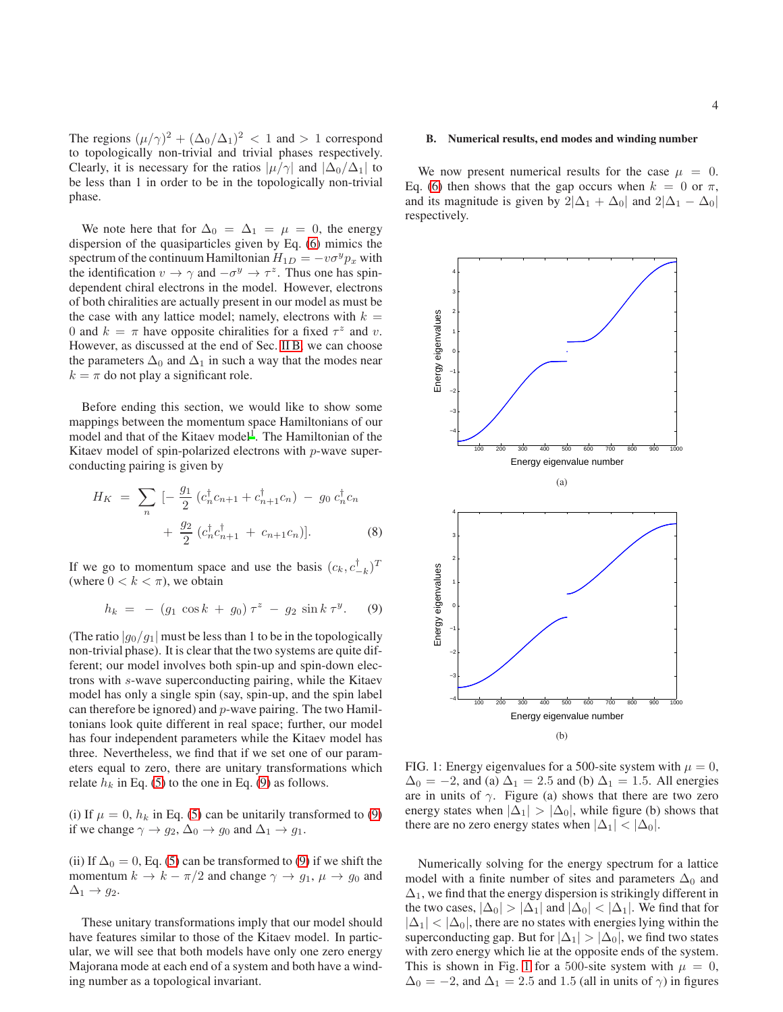The regions  $(\mu/\gamma)^2 + (\Delta_0/\Delta_1)^2 < 1$  and  $> 1$  correspond to topologically non-trivial and trivial phases respectively. Clearly, it is necessary for the ratios  $|\mu/\gamma|$  and  $|\Delta_0/\Delta_1|$  to be less than 1 in order to be in the topologically non-trivial phase.

We note here that for  $\Delta_0 = \Delta_1 = \mu = 0$ , the energy dispersion of the quasiparticles given by Eq. [\(6\)](#page-2-1) mimics the spectrum of the continuum Hamiltonian  $H_{1D} = -v\sigma^y p_x$  with the identification  $v \to \gamma$  and  $-\sigma^y \to \tau^z$ . Thus one has spindependent chiral electrons in the model. However, electrons of both chiralities are actually present in our model as must be the case with any lattice model; namely, electrons with  $k =$ 0 and  $k = \pi$  have opposite chiralities for a fixed  $\tau^z$  and v. However, as discussed at the end of Sec. [II B,](#page-3-0) we can choose the parameters  $\Delta_0$  and  $\Delta_1$  in such a way that the modes near  $k = \pi$  do not play a significant role.

Before ending this section, we would like to show some mappings between the momentum space Hamiltonians of our model and that of the Kitaev model<sup>[1](#page-14-0)</sup>. The Hamiltonian of the Kitaev model of spin-polarized electrons with p-wave superconducting pairing is given by

$$
H_K = \sum_{n} \left[ -\frac{g_1}{2} \left( c_n^{\dagger} c_{n+1} + c_{n+1}^{\dagger} c_n \right) - g_0 \, c_n^{\dagger} c_n \right. \\ \left. + \frac{g_2}{2} \left( c_n^{\dagger} c_{n+1}^{\dagger} + c_{n+1} c_n \right) \right]. \tag{8}
$$

If we go to momentum space and use the basis  $(c_k, c_{-k}^{\dagger})^T$ (where  $0 < k < \pi$ ), we obtain

<span id="page-3-1"></span>
$$
h_k = - (g_1 \cos k + g_0) \tau^z - g_2 \sin k \tau^y. \quad (9)
$$

(The ratio  $|g_0/g_1|$  must be less than 1 to be in the topologically non-trivial phase). It is clear that the two systems are quite different; our model involves both spin-up and spin-down electrons with s-wave superconducting pairing, while the Kitaev model has only a single spin (say, spin-up, and the spin label can therefore be ignored) and p-wave pairing. The two Hamiltonians look quite different in real space; further, our model has four independent parameters while the Kitaev model has three. Nevertheless, we find that if we set one of our parameters equal to zero, there are unitary transformations which relate  $h_k$  in Eq. [\(5\)](#page-2-2) to the one in Eq. [\(9\)](#page-3-1) as follows.

(i) If  $\mu = 0$ ,  $h_k$  in Eq. [\(5\)](#page-2-2) can be unitarily transformed to [\(9\)](#page-3-1) if we change  $\gamma \to g_2$ ,  $\Delta_0 \to g_0$  and  $\Delta_1 \to g_1$ .

(ii) If  $\Delta_0 = 0$ , Eq. [\(5\)](#page-2-2) can be transformed to [\(9\)](#page-3-1) if we shift the momentum  $k \to k - \pi/2$  and change  $\gamma \to g_1$ ,  $\mu \to g_0$  and  $\Delta_1 \rightarrow g_2$ .

These unitary transformations imply that our model should have features similar to those of the Kitaev model. In particular, we will see that both models have only one zero energy Majorana mode at each end of a system and both have a winding number as a topological invariant.

## <span id="page-3-0"></span>B. Numerical results, end modes and winding number

We now present numerical results for the case  $\mu = 0$ . Eq. [\(6\)](#page-2-1) then shows that the gap occurs when  $k = 0$  or  $\pi$ , and its magnitude is given by  $2|\Delta_1 + \Delta_0|$  and  $2|\Delta_1 - \Delta_0|$ respectively.

<span id="page-3-2"></span>

FIG. 1: Energy eigenvalues for a 500-site system with  $\mu = 0$ ,  $\Delta_0 = -2$ , and (a)  $\Delta_1 = 2.5$  and (b)  $\Delta_1 = 1.5$ . All energies are in units of  $\gamma$ . Figure (a) shows that there are two zero energy states when  $|\Delta_1| > |\Delta_0|$ , while figure (b) shows that there are no zero energy states when  $|\Delta_1| < |\Delta_0|$ .

Numerically solving for the energy spectrum for a lattice model with a finite number of sites and parameters  $\Delta_0$  and  $\Delta_1$ , we find that the energy dispersion is strikingly different in the two cases,  $|\Delta_0| > |\Delta_1|$  and  $|\Delta_0| < |\Delta_1|$ . We find that for  $|\Delta_1| < |\Delta_0|$ , there are no states with energies lying within the superconducting gap. But for  $|\Delta_1| > |\Delta_0|$ , we find two states with zero energy which lie at the opposite ends of the system. This is shown in Fig. [1](#page-3-2) for a 500-site system with  $\mu = 0$ ,  $\Delta_0 = -2$ , and  $\Delta_1 = 2.5$  and 1.5 (all in units of  $\gamma$ ) in figures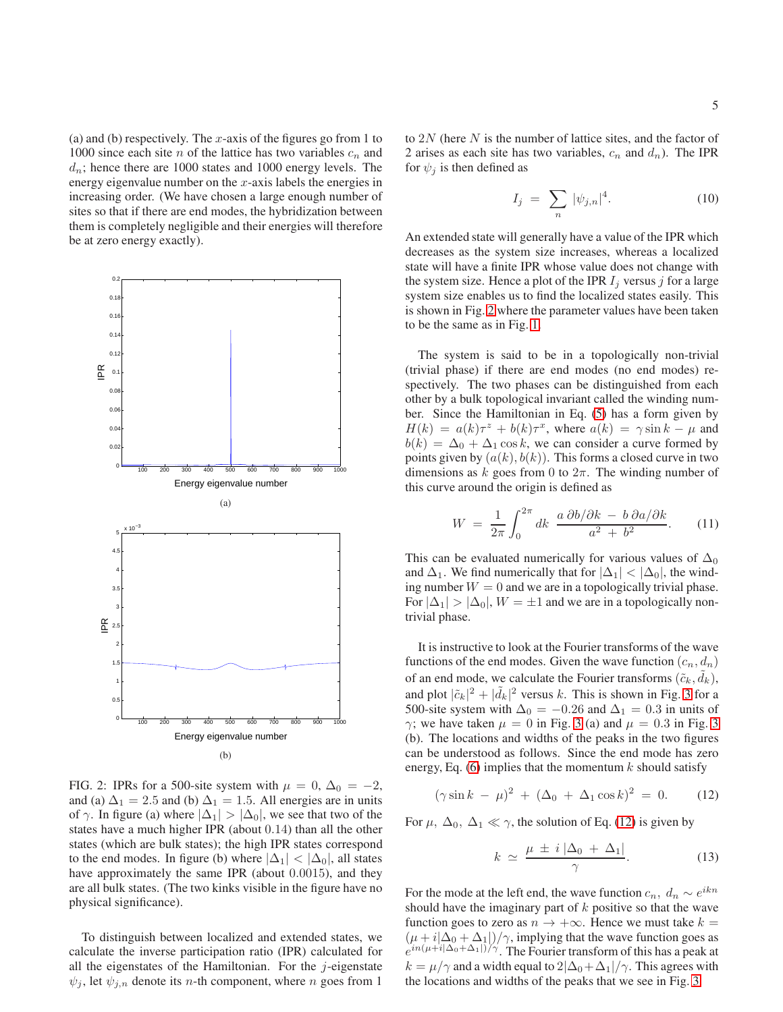(a) and (b) respectively. The  $x$ -axis of the figures go from 1 to 1000 since each site n of the lattice has two variables  $c_n$  and  $d_n$ ; hence there are 1000 states and 1000 energy levels. The energy eigenvalue number on the  $x$ -axis labels the energies in increasing order. (We have chosen a large enough number of sites so that if there are end modes, the hybridization between them is completely negligible and their energies will therefore be at zero energy exactly).

<span id="page-4-0"></span>

FIG. 2: IPRs for a 500-site system with  $\mu = 0$ ,  $\Delta_0 = -2$ , and (a)  $\Delta_1 = 2.5$  and (b)  $\Delta_1 = 1.5$ . All energies are in units of  $\gamma$ . In figure (a) where  $|\Delta_1| > |\Delta_0|$ , we see that two of the states have a much higher IPR (about 0.14) than all the other states (which are bulk states); the high IPR states correspond to the end modes. In figure (b) where  $|\Delta_1| < |\Delta_0|$ , all states have approximately the same IPR (about 0.0015), and they are all bulk states. (The two kinks visible in the figure have no physical significance).

To distinguish between localized and extended states, we calculate the inverse participation ratio (IPR) calculated for all the eigenstates of the Hamiltonian. For the  $j$ -eigenstate  $\psi_j$ , let  $\psi_{j,n}$  denote its *n*-th component, where *n* goes from 1

to  $2N$  (here N is the number of lattice sites, and the factor of 2 arises as each site has two variables,  $c_n$  and  $d_n$ ). The IPR for  $\psi_j$  is then defined as

$$
I_j = \sum_n |\psi_{j,n}|^4. \tag{10}
$$

An extended state will generally have a value of the IPR which decreases as the system size increases, whereas a localized state will have a finite IPR whose value does not change with the system size. Hence a plot of the IPR  $I_i$  versus j for a large system size enables us to find the localized states easily. This is shown in Fig. [2](#page-4-0) where the parameter values have been taken to be the same as in Fig. [1.](#page-3-2)

The system is said to be in a topologically non-trivial (trivial phase) if there are end modes (no end modes) respectively. The two phases can be distinguished from each other by a bulk topological invariant called the winding number. Since the Hamiltonian in Eq. [\(5\)](#page-2-2) has a form given by  $H(k) = a(k)\tau^z + b(k)\tau^x$ , where  $a(k) = \gamma \sin k - \mu$  and  $b(k) = \Delta_0 + \Delta_1 \cos k$ , we can consider a curve formed by points given by  $(a(k), b(k))$ . This forms a closed curve in two dimensions as k goes from 0 to  $2\pi$ . The winding number of this curve around the origin is defined as

<span id="page-4-2"></span>
$$
W = \frac{1}{2\pi} \int_0^{2\pi} dk \frac{a \partial b/\partial k - b \partial a/\partial k}{a^2 + b^2}.
$$
 (11)

This can be evaluated numerically for various values of  $\Delta_0$ and  $\Delta_1$ . We find numerically that for  $|\Delta_1| < |\Delta_0|$ , the winding number  $W = 0$  and we are in a topologically trivial phase. For  $|\Delta_1| > |\Delta_0|$ ,  $W = \pm 1$  and we are in a topologically nontrivial phase.

It is instructive to look at the Fourier transforms of the wave functions of the end modes. Given the wave function  $(c_n, d_n)$ of an end mode, we calculate the Fourier transforms  $(\tilde{c}_k, \tilde{d}_k)$ , and plot  $|\tilde{c}_k|^2 + |\tilde{d}_k|^2$  versus k. This is shown in Fig. [3](#page-5-0) for a 500-site system with  $\Delta_0 = -0.26$  and  $\Delta_1 = 0.3$  in units of γ; we have taken  $\mu = 0$  in Fig. [3](#page-5-0) (a) and  $\mu = 0.3$  in Fig. 3 (b). The locations and widths of the peaks in the two figures can be understood as follows. Since the end mode has zero energy, Eq.  $(6)$  implies that the momentum k should satisfy

<span id="page-4-1"></span>
$$
(\gamma \sin k - \mu)^2 + (\Delta_0 + \Delta_1 \cos k)^2 = 0. \tag{12}
$$

For  $\mu$ ,  $\Delta_0$ ,  $\Delta_1 \ll \gamma$ , the solution of Eq. [\(12\)](#page-4-1) is given by

$$
k \simeq \frac{\mu \pm i \left| \Delta_0 + \Delta_1 \right|}{\gamma}.
$$
 (13)

For the mode at the left end, the wave function  $c_n$ ,  $d_n \sim e^{ikn}$ should have the imaginary part of  $k$  positive so that the wave function goes to zero as  $n \to +\infty$ . Hence we must take  $k =$  $(\mu + i|\Delta_0 + \Delta_1|)/\gamma$ , implying that the wave function goes as  $e^{in(\mu+i|\Delta_0+\Delta_1|)/\gamma}$ . The Fourier transform of this has a peak at  $k = \mu/\gamma$  and a width equal to  $2|\Delta_0 + \Delta_1|/\gamma$ . This agrees with the locations and widths of the peaks that we see in Fig. [3.](#page-5-0)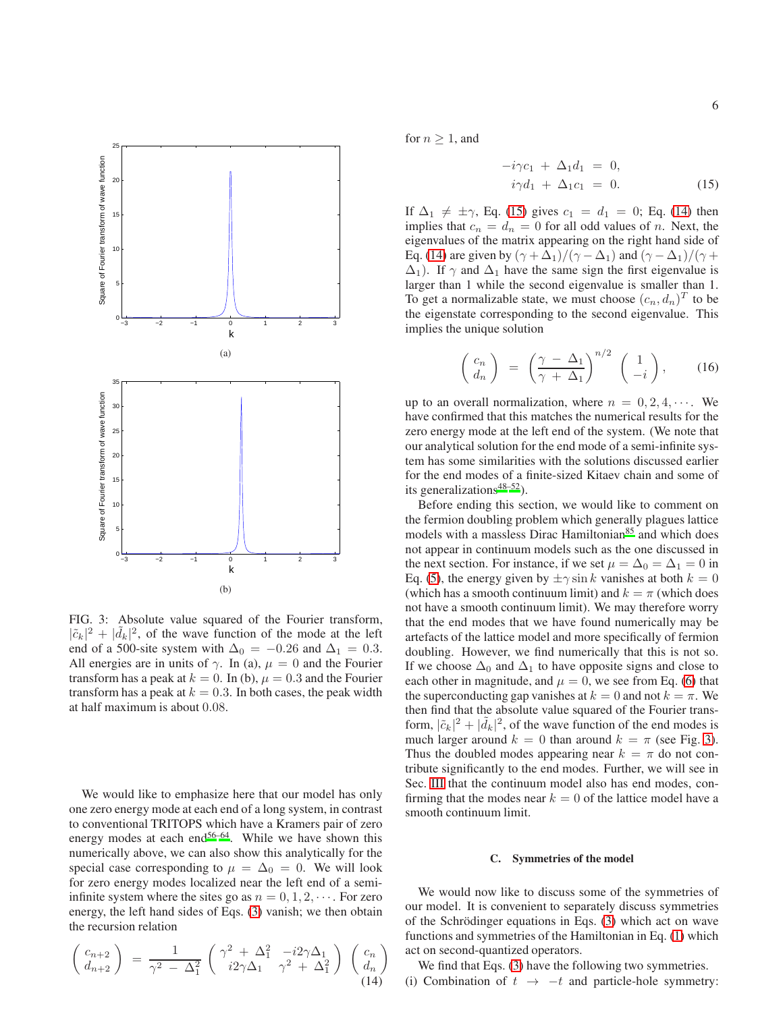<span id="page-5-0"></span>

FIG. 3: Absolute value squared of the Fourier transform,  $|\tilde{c}_k|^2 + |\tilde{d}_k|^2$ , of the wave function of the mode at the left end of a 500-site system with  $\Delta_0 = -0.26$  and  $\Delta_1 = 0.3$ . All energies are in units of  $\gamma$ . In (a),  $\mu = 0$  and the Fourier transform has a peak at  $k = 0$ . In (b),  $\mu = 0.3$  and the Fourier transform has a peak at  $k = 0.3$ . In both cases, the peak width at half maximum is about 0.08.

We would like to emphasize here that our model has only one zero energy mode at each end of a long system, in contrast to conventional TRITOPS which have a Kramers pair of zero energy modes at each end<sup>[56](#page-14-12)[–64](#page-14-13)</sup>. While we have shown this numerically above, we can also show this analytically for the special case corresponding to  $\mu = \Delta_0 = 0$ . We will look for zero energy modes localized near the left end of a semiinfinite system where the sites go as  $n = 0, 1, 2, \cdots$ . For zero energy, the left hand sides of Eqs. [\(3\)](#page-2-3) vanish; we then obtain the recursion relation

<span id="page-5-2"></span>
$$
\begin{pmatrix} c_{n+2} \\ d_{n+2} \end{pmatrix} = \frac{1}{\gamma^2 - \Delta_1^2} \begin{pmatrix} \gamma^2 + \Delta_1^2 & -i2\gamma\Delta_1 \\ i2\gamma\Delta_1 & \gamma^2 + \Delta_1^2 \end{pmatrix} \begin{pmatrix} c_n \\ d_n \end{pmatrix}
$$
(14)

for  $n \geq 1$ , and

<span id="page-5-1"></span>
$$
-i\gamma c_1 + \Delta_1 d_1 = 0,
$$
  
\n
$$
i\gamma d_1 + \Delta_1 c_1 = 0.
$$
 (15)

If  $\Delta_1 \neq \pm \gamma$ , Eq. [\(15\)](#page-5-1) gives  $c_1 = d_1 = 0$ ; Eq. [\(14\)](#page-5-2) then implies that  $c_n = d_n = 0$  for all odd values of n. Next, the eigenvalues of the matrix appearing on the right hand side of Eq. [\(14\)](#page-5-2) are given by  $(\gamma + \Delta_1)/(\gamma - \Delta_1)$  and  $(\gamma - \Delta_1)/(\gamma +$  $\Delta_1$ ). If  $\gamma$  and  $\Delta_1$  have the same sign the first eigenvalue is larger than 1 while the second eigenvalue is smaller than 1. To get a normalizable state, we must choose  $(c_n, d_n)^T$  to be the eigenstate corresponding to the second eigenvalue. This implies the unique solution

$$
\begin{pmatrix} c_n \\ d_n \end{pmatrix} = \left( \frac{\gamma - \Delta_1}{\gamma + \Delta_1} \right)^{n/2} \begin{pmatrix} 1 \\ -i \end{pmatrix}, \qquad (16)
$$

up to an overall normalization, where  $n = 0, 2, 4, \cdots$ . We have confirmed that this matches the numerical results for the zero energy mode at the left end of the system. (We note that our analytical solution for the end mode of a semi-infinite system has some similarities with the solutions discussed earlier for the end modes of a finite-sized Kitaev chain and some of its generalizations $48-52$  $48-52$ ).

Before ending this section, we would like to comment on the fermion doubling problem which generally plagues lattice models with a massless Dirac Hamiltonian<sup>[85](#page-15-14)</sup> and which does not appear in continuum models such as the one discussed in the next section. For instance, if we set  $\mu = \Delta_0 = \Delta_1 = 0$  in Eq. [\(5\)](#page-2-2), the energy given by  $\pm \gamma \sin k$  vanishes at both  $k = 0$ (which has a smooth continuum limit) and  $k = \pi$  (which does not have a smooth continuum limit). We may therefore worry that the end modes that we have found numerically may be artefacts of the lattice model and more specifically of fermion doubling. However, we find numerically that this is not so. If we choose  $\Delta_0$  and  $\Delta_1$  to have opposite signs and close to each other in magnitude, and  $\mu = 0$ , we see from Eq. [\(6\)](#page-2-1) that the superconducting gap vanishes at  $k = 0$  and not  $k = \pi$ . We then find that the absolute value squared of the Fourier transform,  $|\tilde{c}_k|^2 + |\tilde{d}_k|^2$ , of the wave function of the end modes is much larger around  $k = 0$  than around  $k = \pi$  (see Fig. [3\)](#page-5-0). Thus the doubled modes appearing near  $k = \pi$  do not contribute significantly to the end modes. Further, we will see in Sec. [III](#page-7-0) that the continuum model also has end modes, confirming that the modes near  $k = 0$  of the lattice model have a smooth continuum limit.

#### <span id="page-5-3"></span>C. Symmetries of the model

We would now like to discuss some of the symmetries of our model. It is convenient to separately discuss symmetries of the Schrödinger equations in Eqs.  $(3)$  which act on wave functions and symmetries of the Hamiltonian in Eq. [\(1\)](#page-2-4) which act on second-quantized operators.

We find that Eqs. [\(3\)](#page-2-3) have the following two symmetries. (i) Combination of  $t \rightarrow -t$  and particle-hole symmetry: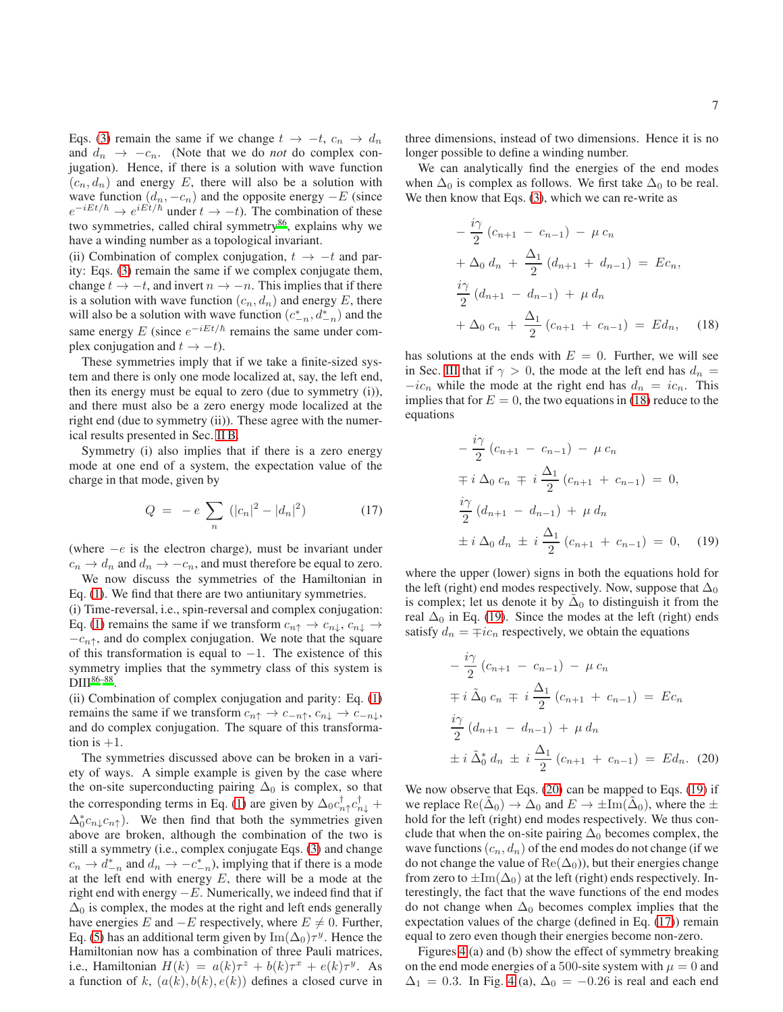Eqs. [\(3\)](#page-2-3) remain the same if we change  $t \to -t$ ,  $c_n \to d_n$ and  $d_n \rightarrow -c_n$ . (Note that we do *not* do complex conjugation). Hence, if there is a solution with wave function  $(c_n, d_n)$  and energy E, there will also be a solution with wave function  $(d_n, -c_n)$  and the opposite energy  $-E$  (since  $e^{-iEt/\hbar} \rightarrow e^{iEt/\hbar}$  under  $t \rightarrow -t$ ). The combination of these two symmetries, called chiral symmetry $86$ , explains why we have a winding number as a topological invariant.

(ii) Combination of complex conjugation,  $t \rightarrow -t$  and parity: Eqs. [\(3\)](#page-2-3) remain the same if we complex conjugate them, change  $t \to -t$ , and invert  $n \to -n$ . This implies that if there is a solution with wave function  $(c_n, d_n)$  and energy E, there will also be a solution with wave function  $(c_{-n}^*, d_{-n}^*)$  and the same energy E (since  $e^{-iEt/\hbar}$  remains the same under complex conjugation and  $t \rightarrow -t$ ).

These symmetries imply that if we take a finite-sized system and there is only one mode localized at, say, the left end, then its energy must be equal to zero (due to symmetry (i)), and there must also be a zero energy mode localized at the right end (due to symmetry (ii)). These agree with the numerical results presented in Sec. [II B.](#page-3-0)

Symmetry (i) also implies that if there is a zero energy mode at one end of a system, the expectation value of the charge in that mode, given by

<span id="page-6-3"></span>
$$
Q = -e \sum_{n} (|c_n|^2 - |d_n|^2)
$$
 (17)

(where  $-e$  is the electron charge), must be invariant under  $c_n \to d_n$  and  $d_n \to -c_n$ , and must therefore be equal to zero.

We now discuss the symmetries of the Hamiltonian in Eq. [\(1\)](#page-2-4). We find that there are two antiunitary symmetries.

(i) Time-reversal, i.e., spin-reversal and complex conjugation: Eq. [\(1\)](#page-2-4) remains the same if we transform  $c_{n\uparrow} \rightarrow c_{n\downarrow}, c_{n\downarrow} \rightarrow$  $-c_{n\uparrow}$ , and do complex conjugation. We note that the square of this transformation is equal to  $-1$ . The existence of this symmetry implies that the symmetry class of this system is  $\rm{DIII}^{86-88}.$  $\rm{DIII}^{86-88}.$  $\rm{DIII}^{86-88}.$ 

(ii) Combination of complex conjugation and parity: Eq. [\(1\)](#page-2-4) remains the same if we transform  $c_{n\uparrow} \rightarrow c_{-n\uparrow}$ ,  $c_{n\downarrow} \rightarrow c_{-n\downarrow}$ , and do complex conjugation. The square of this transformation is  $+1$ .

The symmetries discussed above can be broken in a variety of ways. A simple example is given by the case where the on-site superconducting pairing  $\Delta_0$  is complex, so that the corresponding terms in Eq. [\(1\)](#page-2-4) are given by  $\Delta_0 c_{n\uparrow}^{\dagger} c_{n\downarrow}^{\dagger}$  +  $\Delta_0^* c_{n\downarrow} c_{n\uparrow}$ ). We then find that both the symmetries given above are broken, although the combination of the two is still a symmetry (i.e., complex conjugate Eqs. [\(3\)](#page-2-3) and change  $c_n \to d_{-n}^*$  and  $d_n \to -c_{-n}^*$ ), implying that if there is a mode at the left end with energy  $E$ , there will be a mode at the right end with energy  $-E$ . Numerically, we indeed find that if  $\Delta_0$  is complex, the modes at the right and left ends generally have energies E and  $-E$  respectively, where  $E \neq 0$ . Further, Eq. [\(5\)](#page-2-2) has an additional term given by  $\text{Im}(\Delta_0)\tau^y$ . Hence the Hamiltonian now has a combination of three Pauli matrices, i.e., Hamiltonian  $H(k) = a(k)\tau^z + b(k)\tau^x + e(k)\tau^y$ . As a function of k,  $(a(k), b(k), e(k))$  defines a closed curve in

three dimensions, instead of two dimensions. Hence it is no longer possible to define a winding number.

We can analytically find the energies of the end modes when  $\Delta_0$  is complex as follows. We first take  $\Delta_0$  to be real. We then know that Eqs. [\(3\)](#page-2-3), which we can re-write as

<span id="page-6-0"></span>
$$
-\frac{i\gamma}{2}(c_{n+1} - c_{n-1}) - \mu c_n
$$
  
+  $\Delta_0 d_n + \frac{\Delta_1}{2}(d_{n+1} + d_{n-1}) = Ec_n,$   

$$
\frac{i\gamma}{2}(d_{n+1} - d_{n-1}) + \mu d_n
$$
  
+  $\Delta_0 c_n + \frac{\Delta_1}{2}(c_{n+1} + c_{n-1}) = Ed_n,$  (18)

has solutions at the ends with  $E = 0$ . Further, we will see in Sec. [III](#page-7-0) that if  $\gamma > 0$ , the mode at the left end has  $d_n =$  $-ic_n$  while the mode at the right end has  $d_n = ic_n$ . This implies that for  $E = 0$ , the two equations in [\(18\)](#page-6-0) reduce to the equations

<span id="page-6-1"></span>
$$
-\frac{i\gamma}{2}(c_{n+1} - c_{n-1}) - \mu c_n
$$
  
\n
$$
\mp i \Delta_0 c_n \mp i \frac{\Delta_1}{2}(c_{n+1} + c_{n-1}) = 0,
$$
  
\n
$$
\frac{i\gamma}{2}(d_{n+1} - d_{n-1}) + \mu d_n
$$
  
\n
$$
\pm i \Delta_0 d_n \pm i \frac{\Delta_1}{2}(c_{n+1} + c_{n-1}) = 0,
$$
 (19)

where the upper (lower) signs in both the equations hold for the left (right) end modes respectively. Now, suppose that  $\Delta_0$ is complex; let us denote it by  $\tilde{\Delta}_0$  to distinguish it from the real  $\Delta_0$  in Eq. [\(19\)](#page-6-1). Since the modes at the left (right) ends satisfy  $d_n = \mp i c_n$  respectively, we obtain the equations

<span id="page-6-2"></span>
$$
-\frac{i\gamma}{2}(c_{n+1} - c_{n-1}) - \mu c_n
$$
  
\n
$$
\mp i \tilde{\Delta}_0 c_n \mp i \frac{\Delta_1}{2}(c_{n+1} + c_{n-1}) = Ec_n
$$
  
\n
$$
\frac{i\gamma}{2}(d_{n+1} - d_{n-1}) + \mu d_n
$$
  
\n
$$
\pm i \tilde{\Delta}_0^* d_n \pm i \frac{\Delta_1}{2}(c_{n+1} + c_{n-1}) = Ed_n.
$$
 (20)

We now observe that Eqs. [\(20\)](#page-6-2) can be mapped to Eqs. [\(19\)](#page-6-1) if we replace  $\text{Re}(\tilde{\Delta}_0) \rightarrow \tilde{\Delta}_0$  and  $E \rightarrow \pm \text{Im}(\tilde{\Delta}_0)$ , where the  $\pm$ hold for the left (right) end modes respectively. We thus conclude that when the on-site pairing  $\Delta_0$  becomes complex, the wave functions  $(c_n, d_n)$  of the end modes do not change (if we do not change the value of  $\text{Re}(\Delta_0)$ , but their energies change from zero to  $\pm \text{Im}(\Delta_0)$  at the left (right) ends respectively. Interestingly, the fact that the wave functions of the end modes do not change when  $\Delta_0$  becomes complex implies that the expectation values of the charge (defined in Eq. [\(17\)](#page-6-3)) remain equal to zero even though their energies become non-zero.

Figures [4](#page-7-1) (a) and (b) show the effect of symmetry breaking on the end mode energies of a 500-site system with  $\mu = 0$  and  $\Delta_1 = 0.3$ . In Fig. [4](#page-7-1) (a),  $\Delta_0 = -0.26$  is real and each end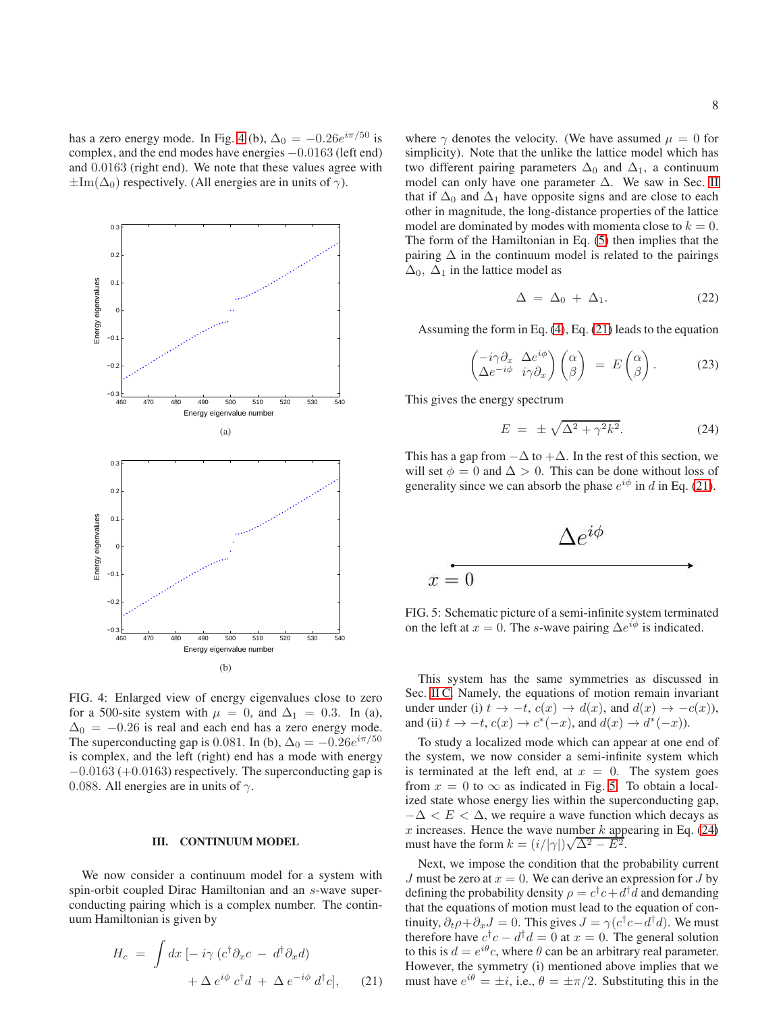has a zero energy mode. In Fig. [4](#page-7-1) (b),  $\Delta_0 = -0.26e^{i\pi/50}$  is complex, and the end modes have energies −0.0163 (left end) and 0.0163 (right end). We note that these values agree with  $\pm \text{Im}(\Delta_0)$  respectively. (All energies are in units of  $\gamma$ ).

<span id="page-7-1"></span>

FIG. 4: Enlarged view of energy eigenvalues close to zero for a 500-site system with  $\mu = 0$ , and  $\Delta_1 = 0.3$ . In (a),  $\Delta_0 = -0.26$  is real and each end has a zero energy mode. The superconducting gap is 0.081. In (b),  $\Delta_0 = -0.26e^{i\pi/50}$ is complex, and the left (right) end has a mode with energy  $-0.0163$  (+0.0163) respectively. The superconducting gap is 0.088. All energies are in units of  $\gamma$ .

### <span id="page-7-0"></span>III. CONTINUUM MODEL

We now consider a continuum model for a system with spin-orbit coupled Dirac Hamiltonian and an s-wave superconducting pairing which is a complex number. The continuum Hamiltonian is given by

<span id="page-7-2"></span>
$$
H_c = \int dx \left[ -i\gamma \left( c^{\dagger} \partial_x c - d^{\dagger} \partial_x d \right) + \Delta e^{i\phi} c^{\dagger} d + \Delta e^{-i\phi} d^{\dagger} c \right], \quad (21)
$$

where  $\gamma$  denotes the velocity. (We have assumed  $\mu = 0$  for simplicity). Note that the unlike the lattice model which has two different pairing parameters  $\Delta_0$  and  $\Delta_1$ , a continuum model can only have one parameter ∆. We saw in Sec. [II](#page-2-0) that if  $\Delta_0$  and  $\Delta_1$  have opposite signs and are close to each other in magnitude, the long-distance properties of the lattice model are dominated by modes with momenta close to  $k = 0$ . The form of the Hamiltonian in Eq. [\(5\)](#page-2-2) then implies that the pairing  $\Delta$  in the continuum model is related to the pairings  $\Delta_0$ ,  $\Delta_1$  in the lattice model as

$$
\Delta = \Delta_0 + \Delta_1. \tag{22}
$$

Assuming the form in Eq. [\(4\)](#page-2-5), Eq. [\(21\)](#page-7-2) leads to the equation

$$
\begin{pmatrix} -i\gamma \partial_x & \Delta e^{i\phi} \\ \Delta e^{-i\phi} & i\gamma \partial_x \end{pmatrix} \begin{pmatrix} \alpha \\ \beta \end{pmatrix} = E \begin{pmatrix} \alpha \\ \beta \end{pmatrix}.
$$
 (23)

This gives the energy spectrum

<span id="page-7-4"></span>
$$
E = \pm \sqrt{\Delta^2 + \gamma^2 k^2}.
$$
 (24)

This has a gap from  $-\Delta$  to  $+\Delta$ . In the rest of this section, we will set  $\phi = 0$  and  $\Delta > 0$ . This can be done without loss of generality since we can absorb the phase  $e^{i\phi}$  in d in Eq. [\(21\)](#page-7-2).

<span id="page-7-3"></span>
$$
\Delta e^{i\phi}
$$

FIG. 5: Schematic picture of a semi-infinite system terminated on the left at  $x = 0$ . The s-wave pairing  $\Delta e^{i\phi}$  is indicated.

This system has the same symmetries as discussed in Sec. [II C.](#page-5-3) Namely, the equations of motion remain invariant under under (i)  $t \to -t$ ,  $c(x) \to d(x)$ , and  $d(x) \to -c(x)$ ), and (ii)  $t \to -t$ ,  $c(x) \to c^*(-x)$ , and  $d(x) \to d^*(-x)$ ).

To study a localized mode which can appear at one end of the system, we now consider a semi-infinite system which is terminated at the left end, at  $x = 0$ . The system goes from  $x = 0$  to  $\infty$  as indicated in Fig. [5.](#page-7-3) To obtain a localized state whose energy lies within the superconducting gap,  $-\Delta < E < \Delta$ , we require a wave function which decays as  $x$  increases. Hence the wave number  $k$  appearing in Eq. [\(24\)](#page-7-4) must have the form  $k = (i/|\gamma|)\sqrt{\Delta^2 - E^2}$ .

Next, we impose the condition that the probability current J must be zero at  $x = 0$ . We can derive an expression for J by defining the probability density  $\rho = c^{\dagger}c + d^{\dagger}d$  and demanding that the equations of motion must lead to the equation of continuity,  $\partial_t \rho + \partial_x J = 0$ . This gives  $J = \gamma (c^{\dagger} c - d^{\dagger} d)$ . We must therefore have  $c^{\dagger}c - d^{\dagger}d = 0$  at  $x = 0$ . The general solution to this is  $d = e^{i\theta}c$ , where  $\theta$  can be an arbitrary real parameter. However, the symmetry (i) mentioned above implies that we must have  $e^{i\theta} = \pm i$ , i.e.,  $\theta = \pm \pi/2$ . Substituting this in the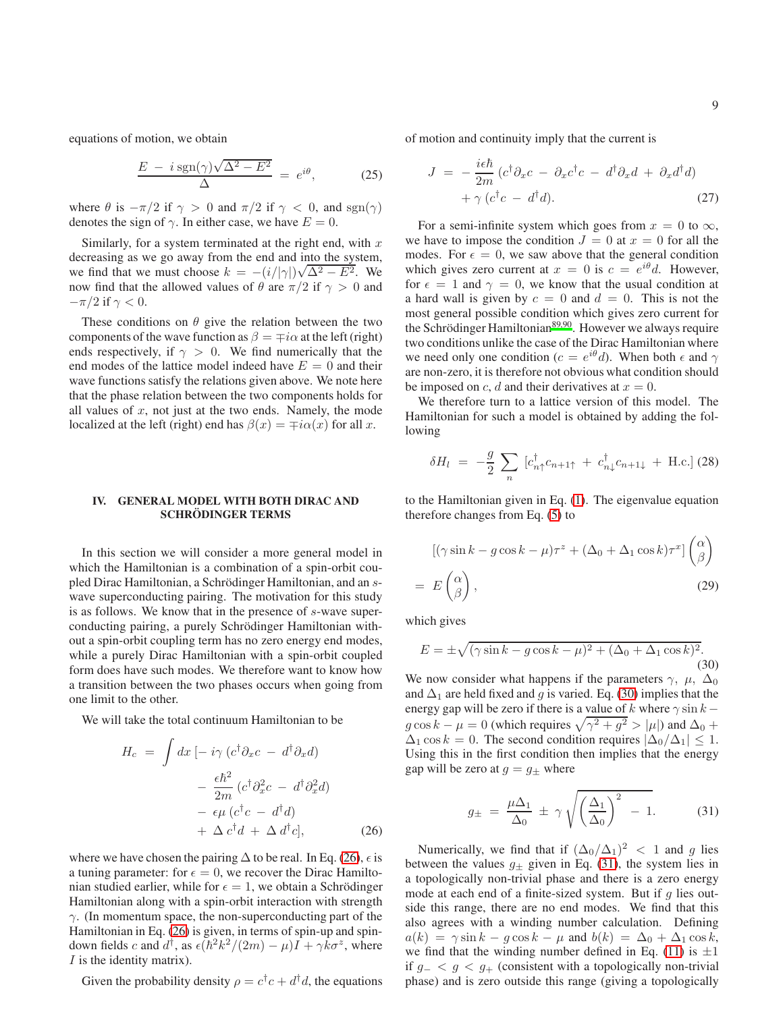equations of motion, we obtain

$$
\frac{E - i \operatorname{sgn}(\gamma)\sqrt{\Delta^2 - E^2}}{\Delta} = e^{i\theta}, \tag{25}
$$

where  $\theta$  is  $-\pi/2$  if  $\gamma > 0$  and  $\pi/2$  if  $\gamma < 0$ , and  $sgn(\gamma)$ denotes the sign of  $\gamma$ . In either case, we have  $E = 0$ .

Similarly, for a system terminated at the right end, with  $x$ decreasing as we go away from the end and into the system, we find that we must choose  $k = -(i/|\gamma|)\sqrt{\Delta^2 - E^2}$ . We now find that the allowed values of  $\theta$  are  $\pi/2$  if  $\gamma > 0$  and  $-\pi/2$  if  $\gamma < 0$ .

These conditions on  $\theta$  give the relation between the two components of the wave function as  $\beta = \mp i\alpha$  at the left (right) ends respectively, if  $\gamma > 0$ . We find numerically that the end modes of the lattice model indeed have  $E = 0$  and their wave functions satisfy the relations given above. We note here that the phase relation between the two components holds for all values of  $x$ , not just at the two ends. Namely, the mode localized at the left (right) end has  $\beta(x) = \pm i\alpha(x)$  for all x.

### <span id="page-8-0"></span>IV. GENERAL MODEL WITH BOTH DIRAC AND SCHRÖDINGER TERMS

In this section we will consider a more general model in which the Hamiltonian is a combination of a spin-orbit coupled Dirac Hamiltonian, a Schrödinger Hamiltonian, and an swave superconducting pairing. The motivation for this study is as follows. We know that in the presence of s-wave superconducting pairing, a purely Schrödinger Hamiltonian without a spin-orbit coupling term has no zero energy end modes, while a purely Dirac Hamiltonian with a spin-orbit coupled form does have such modes. We therefore want to know how a transition between the two phases occurs when going from one limit to the other.

We will take the total continuum Hamiltonian to be

<span id="page-8-1"></span>
$$
H_c = \int dx \left[ -i\gamma \left( c^{\dagger} \partial_x c - d^{\dagger} \partial_x d \right) \right. \left. - \frac{\epsilon \hbar^2}{2m} \left( c^{\dagger} \partial_x^2 c - d^{\dagger} \partial_x^2 d \right) \right. \left. - \epsilon \mu \left( c^{\dagger} c - d^{\dagger} d \right) \right. \left. + \Delta c^{\dagger} d + \Delta d^{\dagger} c \right], \tag{26}
$$

where we have chosen the pairing  $\Delta$  to be real. In Eq. [\(26\)](#page-8-1),  $\epsilon$  is a tuning parameter: for  $\epsilon = 0$ , we recover the Dirac Hamiltonian studied earlier, while for  $\epsilon = 1$ , we obtain a Schrödinger Hamiltonian along with a spin-orbit interaction with strength  $\gamma$ . (In momentum space, the non-superconducting part of the Hamiltonian in Eq. [\(26\)](#page-8-1) is given, in terms of spin-up and spindown fields c and  $d^{\dagger}$ , as  $\epsilon(\hbar^2 k^2/(2m) - \mu)\vec{I} + \gamma \vec{k} \sigma^z$ , where  $I$  is the identity matrix).

Given the probability density  $\rho = c^{\dagger}c + d^{\dagger}d$ , the equations

of motion and continuity imply that the current is

$$
J = -\frac{i\epsilon\hbar}{2m} (c^{\dagger}\partial_x c - \partial_x c^{\dagger} c - d^{\dagger}\partial_x d + \partial_x d^{\dagger} d) + \gamma (c^{\dagger}c - d^{\dagger}d).
$$
 (27)

For a semi-infinite system which goes from  $x = 0$  to  $\infty$ , we have to impose the condition  $J = 0$  at  $x = 0$  for all the modes. For  $\epsilon = 0$ , we saw above that the general condition which gives zero current at  $x = 0$  is  $c = e^{i\theta}d$ . However, for  $\epsilon = 1$  and  $\gamma = 0$ , we know that the usual condition at a hard wall is given by  $c = 0$  and  $d = 0$ . This is not the most general possible condition which gives zero current for the Schrödinger Hamiltonian $89,90$  $89,90$ . However we always require two conditions unlike the case of the Dirac Hamiltonian where we need only one condition ( $c = e^{i\theta} d$ ). When both  $\epsilon$  and  $\gamma$ are non-zero, it is therefore not obvious what condition should be imposed on c, d and their derivatives at  $x = 0$ .

We therefore turn to a lattice version of this model. The Hamiltonian for such a model is obtained by adding the following

$$
\delta H_l = -\frac{g}{2} \sum_n \left[ c_{n\uparrow}^\dagger c_{n+1\uparrow} + c_{n\downarrow}^\dagger c_{n+1\downarrow} + \text{H.c.} \right] (28)
$$

to the Hamiltonian given in Eq. [\(1\)](#page-2-4). The eigenvalue equation therefore changes from Eq. [\(5\)](#page-2-2) to

$$
[(\gamma \sin k - g \cos k - \mu)\tau^z + (\Delta_0 + \Delta_1 \cos k)\tau^x] \begin{pmatrix} \alpha \\ \beta \end{pmatrix}
$$
  
=  $E\begin{pmatrix} \alpha \\ \beta \end{pmatrix}$ , (29)

which gives

<span id="page-8-2"></span>
$$
E = \pm \sqrt{(\gamma \sin k - g \cos k - \mu)^2 + (\Delta_0 + \Delta_1 \cos k)^2}.
$$
\n(30)

We now consider what happens if the parameters  $\gamma$ ,  $\mu$ ,  $\Delta_0$ and  $\Delta_1$  are held fixed and g is varied. Eq. [\(30\)](#page-8-2) implies that the energy gap will be zero if there is a value of k where  $\gamma \sin k$  $g \cos k - \mu = 0$  (which requires  $\sqrt{\gamma^2 + g^2} > |\mu|$ ) and  $\Delta_0$  +  $\Delta_1 \cos k = 0$ . The second condition requires  $|\Delta_0/\Delta_1| \leq 1$ . Using this in the first condition then implies that the energy gap will be zero at  $g = g_{\pm}$  where

<span id="page-8-3"></span>
$$
g_{\pm} = \frac{\mu \Delta_1}{\Delta_0} \pm \gamma \sqrt{\left(\frac{\Delta_1}{\Delta_0}\right)^2 - 1}.
$$
 (31)

Numerically, we find that if  $(\Delta_0/\Delta_1)^2 < 1$  and g lies between the values  $g_{\pm}$  given in Eq. [\(31\)](#page-8-3), the system lies in a topologically non-trivial phase and there is a zero energy mode at each end of a finite-sized system. But if  $q$  lies outside this range, there are no end modes. We find that this also agrees with a winding number calculation. Defining  $a(k) = \gamma \sin k - g \cos k - \mu$  and  $b(k) = \Delta_0 + \Delta_1 \cos k$ , we find that the winding number defined in Eq. [\(11\)](#page-4-2) is  $\pm 1$ if  $g<sub>-</sub> < g < g<sub>+</sub>$  (consistent with a topologically non-trivial phase) and is zero outside this range (giving a topologically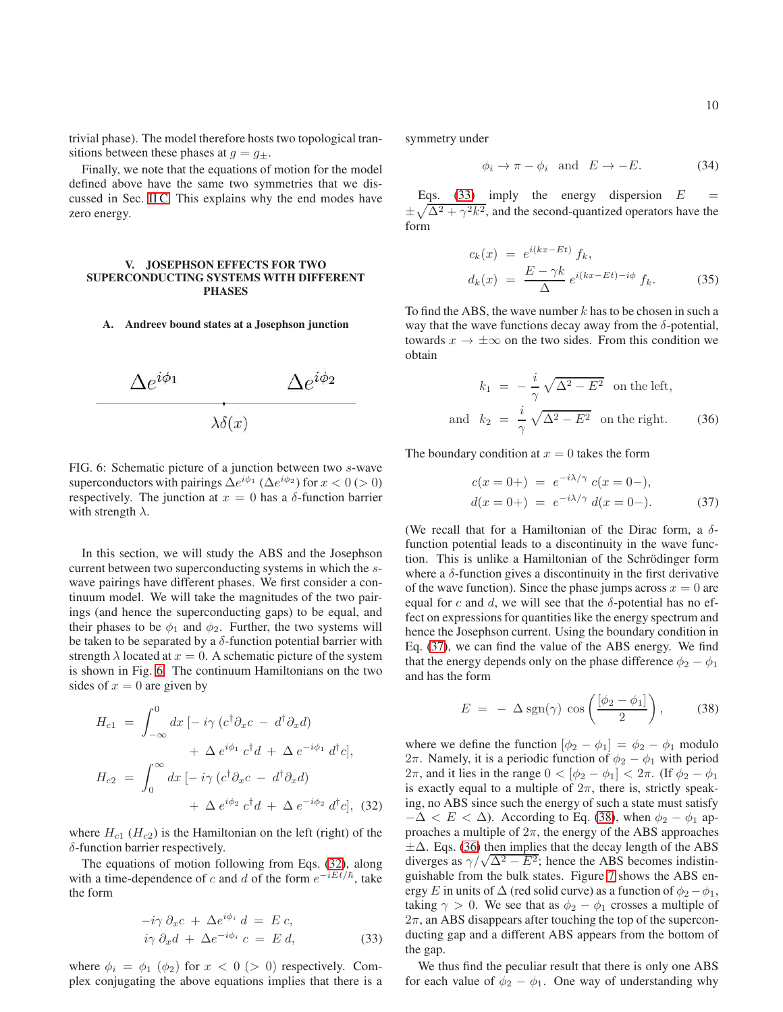trivial phase). The model therefore hosts two topological transitions between these phases at  $g = g_{\pm}$ .

Finally, we note that the equations of motion for the model defined above have the same two symmetries that we discussed in Sec. [II C.](#page-5-3) This explains why the end modes have zero energy.

## <span id="page-9-0"></span>V. JOSEPHSON EFFECTS FOR TWO SUPERCONDUCTING SYSTEMS WITH DIFFERENT PHASES

### A. Andreev bound states at a Josephson junction

<span id="page-9-1"></span>

FIG. 6: Schematic picture of a junction between two s-wave superconductors with pairings  $\Delta e^{i\phi_1}$  ( $\Delta e^{i\phi_2}$ ) for  $x < 0$  (> 0) respectively. The junction at  $x = 0$  has a  $\delta$ -function barrier with strength  $\lambda$ .

In this section, we will study the ABS and the Josephson current between two superconducting systems in which the swave pairings have different phases. We first consider a continuum model. We will take the magnitudes of the two pairings (and hence the superconducting gaps) to be equal, and their phases to be  $\phi_1$  and  $\phi_2$ . Further, the two systems will be taken to be separated by a  $\delta$ -function potential barrier with strength  $\lambda$  located at  $x = 0$ . A schematic picture of the system is shown in Fig. [6.](#page-9-1) The continuum Hamiltonians on the two sides of  $x = 0$  are given by

<span id="page-9-2"></span>
$$
H_{c1} = \int_{-\infty}^{0} dx \left[ -i\gamma \left( c^{\dagger} \partial_{x} c - d^{\dagger} \partial_{x} d \right) \right. \\ \left. + \Delta e^{i\phi_{1}} c^{\dagger} d + \Delta e^{-i\phi_{1}} d^{\dagger} c \right],
$$

$$
H_{c2} = \int_{0}^{\infty} dx \left[ -i\gamma \left( c^{\dagger} \partial_{x} c - d^{\dagger} \partial_{x} d \right) \right. \\ \left. + \Delta e^{i\phi_{2}} c^{\dagger} d + \Delta e^{-i\phi_{2}} d^{\dagger} c \right], \tag{32}
$$

where  $H_{c1}$  ( $H_{c2}$ ) is the Hamiltonian on the left (right) of the  $\delta$ -function barrier respectively.

The equations of motion following from Eqs. [\(32\)](#page-9-2), along with a time-dependence of c and d of the form  $e^{-iEt/\hbar}$ , take the form

<span id="page-9-3"></span>
$$
-i\gamma \partial_x c + \Delta e^{i\phi_i} d = E c,
$$
  
\n
$$
i\gamma \partial_x d + \Delta e^{-i\phi_i} c = E d,
$$
\n(33)

where  $\phi_i = \phi_1$  ( $\phi_2$ ) for  $x < 0$  ( $> 0$ ) respectively. Complex conjugating the above equations implies that there is a symmetry under

$$
\phi_i \to \pi - \phi_i \quad \text{and} \quad E \to -E. \tag{34}
$$

Eqs. [\(33\)](#page-9-3) imply the energy dispersion  $E =$  $\pm \sqrt{\Delta^2 + \gamma^2 k^2}$ , and the second-quantized operators have the form

$$
c_k(x) = e^{i(kx - Et)} f_k,
$$
  
\n
$$
d_k(x) = \frac{E - \gamma k}{\Delta} e^{i(kx - Et) - i\phi} f_k.
$$
\n(35)

To find the ABS, the wave number  $k$  has to be chosen in such a way that the wave functions decay away from the  $\delta$ -potential, towards  $x \to \pm \infty$  on the two sides. From this condition we obtain

<span id="page-9-6"></span>
$$
k_1 = -\frac{i}{\gamma} \sqrt{\Delta^2 - E^2} \quad \text{on the left,}
$$
  
and 
$$
k_2 = \frac{i}{\gamma} \sqrt{\Delta^2 - E^2} \quad \text{on the right.}
$$
 (36)

The boundary condition at  $x = 0$  takes the form

<span id="page-9-4"></span>
$$
c(x = 0+) = e^{-i\lambda/\gamma} c(x = 0-),
$$
  
\n
$$
d(x = 0+) = e^{-i\lambda/\gamma} d(x = 0-).
$$
\n(37)

(We recall that for a Hamiltonian of the Dirac form, a  $\delta$ function potential leads to a discontinuity in the wave function. This is unlike a Hamiltonian of the Schrödinger form where a  $\delta$ -function gives a discontinuity in the first derivative of the wave function). Since the phase jumps across  $x = 0$  are equal for c and d, we will see that the  $\delta$ -potential has no effect on expressions for quantities like the energy spectrum and hence the Josephson current. Using the boundary condition in Eq. [\(37\)](#page-9-4), we can find the value of the ABS energy. We find that the energy depends only on the phase difference  $\phi_2 - \phi_1$ and has the form

<span id="page-9-5"></span>
$$
E = -\Delta \operatorname{sgn}(\gamma) \cos \left( \frac{[\phi_2 - \phi_1]}{2} \right), \quad (38)
$$

where we define the function  $[\phi_2 - \phi_1] = \phi_2 - \phi_1$  modulo 2π. Namely, it is a periodic function of  $\phi_2 - \phi_1$  with period  $2\pi$ , and it lies in the range  $0 < [\phi_2 - \phi_1] < 2\pi$ . (If  $\phi_2 - \phi_1$ ) is exactly equal to a multiple of  $2\pi$ , there is, strictly speaking, no ABS since such the energy of such a state must satisfy  $-\Delta < E < \Delta$ ). According to Eq. [\(38\)](#page-9-5), when  $\phi_2 - \phi_1$  approaches a multiple of  $2\pi$ , the energy of the ABS approaches  $\pm \Delta$ . Eqs. [\(36\)](#page-9-6) then implies that the decay length of the ABS diverges as  $\gamma/\sqrt{\Delta^2 - E^2}$ ; hence the ABS becomes indistinguishable from the bulk states. Figure [7](#page-10-0) shows the ABS energy E in units of  $\Delta$  (red solid curve) as a function of  $\phi_2 - \phi_1$ , taking  $\gamma > 0$ . We see that as  $\phi_2 - \phi_1$  crosses a multiple of  $2\pi$ , an ABS disappears after touching the top of the superconducting gap and a different ABS appears from the bottom of the gap.

We thus find the peculiar result that there is only one ABS for each value of  $\phi_2 - \phi_1$ . One way of understanding why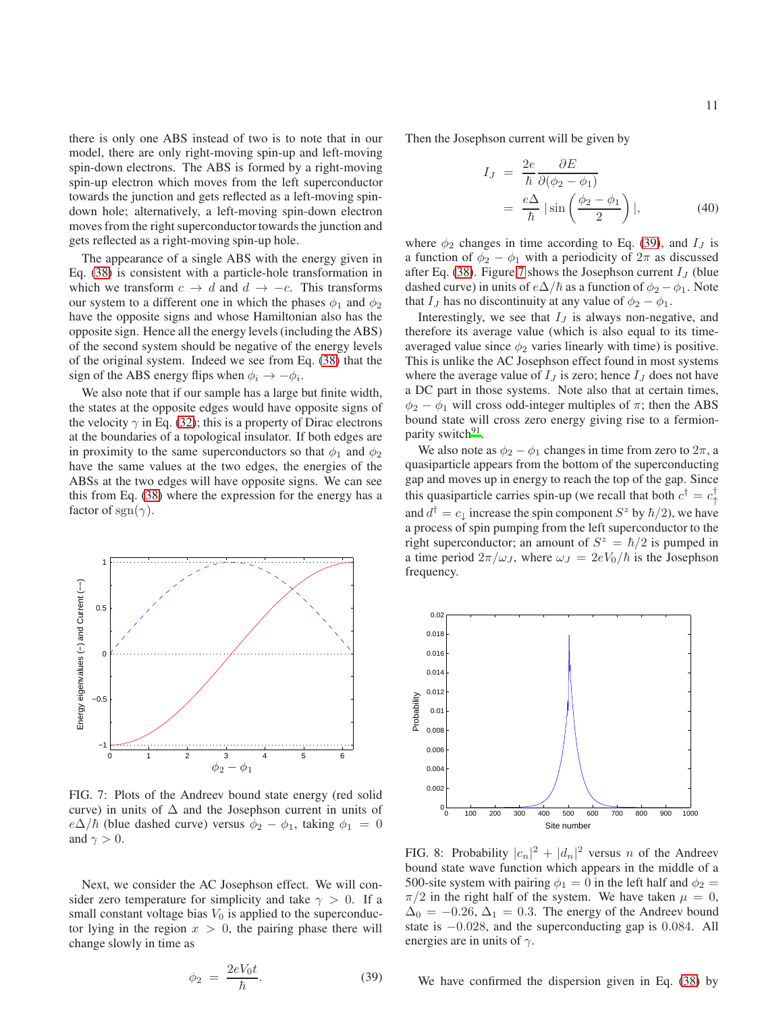there is only one ABS instead of two is to note that in our model, there are only right-moving spin-up and left-moving spin-down electrons. The ABS is formed by a right-moving spin-up electron which moves from the left superconductor towards the junction and gets reflected as a left-moving spindown hole; alternatively, a left-moving spin-down electron moves from the right superconductor towards the junction and gets reflected as a right-moving spin-up hole.

The appearance of a single ABS with the energy given in Eq. [\(38\)](#page-9-5) is consistent with a particle-hole transformation in which we transform  $c \to d$  and  $d \to -c$ . This transforms our system to a different one in which the phases  $\phi_1$  and  $\phi_2$ have the opposite signs and whose Hamiltonian also has the opposite sign. Hence all the energy levels (including the ABS) of the second system should be negative of the energy levels of the original system. Indeed we see from Eq. [\(38\)](#page-9-5) that the sign of the ABS energy flips when  $\phi_i \to -\phi_i$ .

We also note that if our sample has a large but finite width, the states at the opposite edges would have opposite signs of the velocity  $\gamma$  in Eq. [\(32\)](#page-9-2); this is a property of Dirac electrons at the boundaries of a topological insulator. If both edges are in proximity to the same superconductors so that  $\phi_1$  and  $\phi_2$ have the same values at the two edges, the energies of the ABSs at the two edges will have opposite signs. We can see this from Eq. [\(38\)](#page-9-5) where the expression for the energy has a factor of sgn( $\gamma$ ).

<span id="page-10-0"></span>

FIG. 7: Plots of the Andreev bound state energy (red solid curve) in units of  $\Delta$  and the Josephson current in units of  $e\Delta/\hbar$  (blue dashed curve) versus  $\phi_2 - \phi_1$ , taking  $\phi_1 = 0$ and  $\gamma > 0$ .

Next, we consider the AC Josephson effect. We will consider zero temperature for simplicity and take  $\gamma > 0$ . If a small constant voltage bias  $V_0$  is applied to the superconductor lying in the region  $x > 0$ , the pairing phase there will change slowly in time as

<span id="page-10-1"></span>
$$
\phi_2 = \frac{2eV_0t}{\hbar}.\tag{39}
$$

Then the Josephson current will be given by

<span id="page-10-3"></span>
$$
I_J = \frac{2e}{\hbar} \frac{\partial E}{\partial(\phi_2 - \phi_1)}
$$
  
=  $\frac{e\Delta}{\hbar} |\sin\left(\frac{\phi_2 - \phi_1}{2}\right)|,$  (40)

where  $\phi_2$  changes in time according to Eq. [\(39\)](#page-10-1), and  $I_J$  is a function of  $\phi_2 - \phi_1$  with a periodicity of  $2\pi$  as discussed after Eq. [\(38\)](#page-9-5). Figure [7](#page-10-0) shows the Josephson current  $I_J$  (blue dashed curve) in units of  $e\Delta/\hbar$  as a function of  $\phi_2 - \phi_1$ . Note that  $I_J$  has no discontinuity at any value of  $\phi_2 - \phi_1$ .

Interestingly, we see that  $I_J$  is always non-negative, and therefore its average value (which is also equal to its timeaveraged value since  $\phi_2$  varies linearly with time) is positive. This is unlike the AC Josephson effect found in most systems where the average value of  $I_J$  is zero; hence  $I_J$  does not have a DC part in those systems. Note also that at certain times,  $\phi_2 - \phi_1$  will cross odd-integer multiples of  $\pi$ ; then the ABS bound state will cross zero energy giving rise to a fermion-parity switch<sup>[91](#page-15-19)</sup>.

We also note as  $\phi_2 - \phi_1$  changes in time from zero to  $2\pi$ , a quasiparticle appears from the bottom of the superconducting gap and moves up in energy to reach the top of the gap. Since this quasiparticle carries spin-up (we recall that both  $c^{\dagger} = c^{\dagger}_{\uparrow}$ and  $d^{\dagger} = c_{\downarrow}$  increase the spin component  $S^z$  by  $\hbar/2$ ), we have a process of spin pumping from the left superconductor to the right superconductor; an amount of  $S^z = \hbar/2$  is pumped in a time period  $2\pi/\omega_J$ , where  $\omega_J = 2eV_0/\hbar$  is the Josephson frequency.

<span id="page-10-2"></span>

FIG. 8: Probability  $|c_n|^2 + |d_n|^2$  versus *n* of the Andreev bound state wave function which appears in the middle of a 500-site system with pairing  $\phi_1 = 0$  in the left half and  $\phi_2 =$  $\pi/2$  in the right half of the system. We have taken  $\mu = 0$ ,  $\Delta_0 = -0.26, \Delta_1 = 0.3$ . The energy of the Andreev bound state is  $-0.028$ , and the superconducting gap is 0.084. All energies are in units of  $\gamma$ .

We have confirmed the dispersion given in Eq. [\(38\)](#page-9-5) by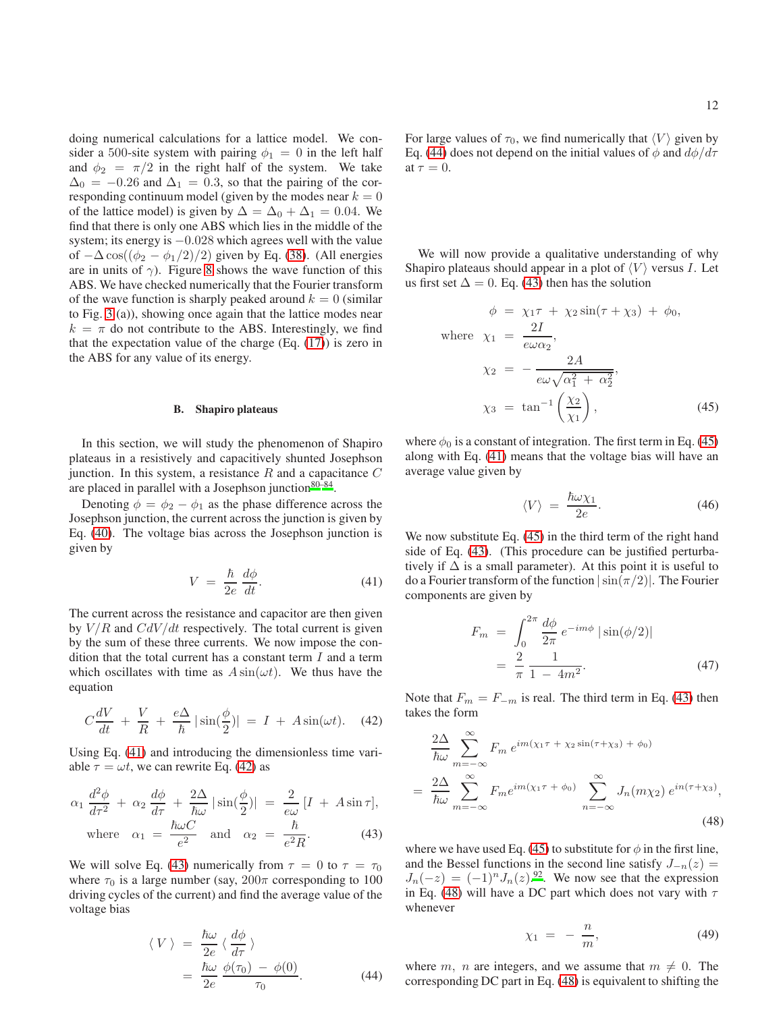doing numerical calculations for a lattice model. We consider a 500-site system with pairing  $\phi_1 = 0$  in the left half and  $\phi_2 = \pi/2$  in the right half of the system. We take  $\Delta_0 = -0.26$  and  $\Delta_1 = 0.3$ , so that the pairing of the corresponding continuum model (given by the modes near  $k = 0$ of the lattice model) is given by  $\Delta = \Delta_0 + \Delta_1 = 0.04$ . We find that there is only one ABS which lies in the middle of the system; its energy is −0.028 which agrees well with the value of  $-\Delta \cos((\phi_2 - \phi_1/2)/2)$  given by Eq. [\(38\)](#page-9-5). (All energies are in units of  $\gamma$ ). Figure [8](#page-10-2) shows the wave function of this ABS. We have checked numerically that the Fourier transform of the wave function is sharply peaked around  $k = 0$  (similar to Fig. [3](#page-5-0) (a)), showing once again that the lattice modes near  $k = \pi$  do not contribute to the ABS. Interestingly, we find that the expectation value of the charge  $(Eq. (17))$  $(Eq. (17))$  $(Eq. (17))$  is zero in the ABS for any value of its energy.

#### B. Shapiro plateaus

In this section, we will study the phenomenon of Shapiro plateaus in a resistively and capacitively shunted Josephson junction. In this system, a resistance  $R$  and a capacitance  $C$ are placed in parallel with a Josephson junction  $80-84$  $80-84$ .

Denoting  $\phi = \phi_2 - \phi_1$  as the phase difference across the Josephson junction, the current across the junction is given by Eq. [\(40\)](#page-10-3). The voltage bias across the Josephson junction is given by

<span id="page-11-0"></span>
$$
V = \frac{\hbar}{2e} \frac{d\phi}{dt}.
$$
 (41)

The current across the resistance and capacitor are then given by  $V/R$  and  $CdV/dt$  respectively. The total current is given by the sum of these three currents. We now impose the condition that the total current has a constant term  $I$  and a term which oscillates with time as  $A \sin(\omega t)$ . We thus have the equation

<span id="page-11-1"></span>
$$
C\frac{dV}{dt} + \frac{V}{R} + \frac{e\Delta}{\hbar}|\sin(\frac{\phi}{2})| = I + A\sin(\omega t). \quad (42)
$$

Using Eq. [\(41\)](#page-11-0) and introducing the dimensionless time variable  $\tau = \omega t$ , we can rewrite Eq. [\(42\)](#page-11-1) as

<span id="page-11-2"></span>
$$
\alpha_1 \frac{d^2 \phi}{d\tau^2} + \alpha_2 \frac{d\phi}{d\tau} + \frac{2\Delta}{\hbar \omega} |\sin(\frac{\phi}{2})| = \frac{2}{e\omega} [I + A \sin \tau],
$$
  

$$
\hbar \omega C
$$

where 
$$
\alpha_1 = \frac{n\omega C}{e^2}
$$
 and  $\alpha_2 = \frac{n}{e^2 R}$ . (43)

We will solve Eq. [\(43\)](#page-11-2) numerically from  $\tau = 0$  to  $\tau = \tau_0$ where  $\tau_0$  is a large number (say,  $200\pi$  corresponding to 100 driving cycles of the current) and find the average value of the voltage bias

<span id="page-11-3"></span>
$$
\langle V \rangle = \frac{\hbar \omega}{2e} \langle \frac{d\phi}{d\tau} \rangle
$$
  
=  $\frac{\hbar \omega}{2e} \frac{\phi(\tau_0) - \phi(0)}{\tau_0}$ . (44)

For large values of  $\tau_0$ , we find numerically that  $\langle V \rangle$  given by Eq. [\(44\)](#page-11-3) does not depend on the initial values of  $\phi$  and  $d\phi/d\tau$ at  $\tau = 0$ .

We will now provide a qualitative understanding of why Shapiro plateaus should appear in a plot of  $\langle V \rangle$  versus I. Let us first set  $\Delta = 0$ . Eq. [\(43\)](#page-11-2) then has the solution

<span id="page-11-4"></span>
$$
\phi = \chi_1 \tau + \chi_2 \sin(\tau + \chi_3) + \phi_0,
$$
  
where  $\chi_1 = \frac{2I}{e\omega \alpha_2},$   

$$
\chi_2 = -\frac{2A}{e\omega \sqrt{\alpha_1^2 + \alpha_2^2}},
$$
  

$$
\chi_3 = \tan^{-1} \left(\frac{\chi_2}{\chi_1}\right),
$$
 (45)

where  $\phi_0$  is a constant of integration. The first term in Eq. [\(45\)](#page-11-4) along with Eq. [\(41\)](#page-11-0) means that the voltage bias will have an average value given by

<span id="page-11-6"></span>
$$
\langle V \rangle = \frac{\hbar \omega \chi_1}{2e}.
$$
 (46)

We now substitute Eq.  $(45)$  in the third term of the right hand side of Eq. [\(43\)](#page-11-2). (This procedure can be justified perturbatively if  $\Delta$  is a small parameter). At this point it is useful to do a Fourier transform of the function  $|\sin(\pi/2)|$ . The Fourier components are given by

$$
F_m = \int_0^{2\pi} \frac{d\phi}{2\pi} e^{-im\phi} |\sin(\phi/2)|
$$
  
=  $\frac{2}{\pi} \frac{1}{1 - 4m^2}$ . (47)

Note that  $F_m = F_{-m}$  is real. The third term in Eq. [\(43\)](#page-11-2) then takes the form

<span id="page-11-5"></span>
$$
\frac{2\Delta}{\hbar\omega} \sum_{m=-\infty}^{\infty} F_m e^{im(\chi_1 \tau + \chi_2 \sin(\tau + \chi_3) + \phi_0)}
$$
\n
$$
= \frac{2\Delta}{\hbar\omega} \sum_{m=-\infty}^{\infty} F_m e^{im(\chi_1 \tau + \phi_0)} \sum_{n=-\infty}^{\infty} J_n(m\chi_2) e^{in(\tau + \chi_3)},
$$
\n(48)

where we have used Eq. [\(45\)](#page-11-4) to substitute for  $\phi$  in the first line, and the Bessel functions in the second line satisfy  $J_{-n}(z) =$  $J_n(-z) = (-1)^n J_n(z).$ <sup>[92](#page-15-20)</sup>. We now see that the expression in Eq. [\(48\)](#page-11-5) will have a DC part which does not vary with  $\tau$ whenever

<span id="page-11-7"></span>
$$
\chi_1 = -\frac{n}{m},\tag{49}
$$

where m, n are integers, and we assume that  $m \neq 0$ . The corresponding DC part in Eq. [\(48\)](#page-11-5) is equivalent to shifting the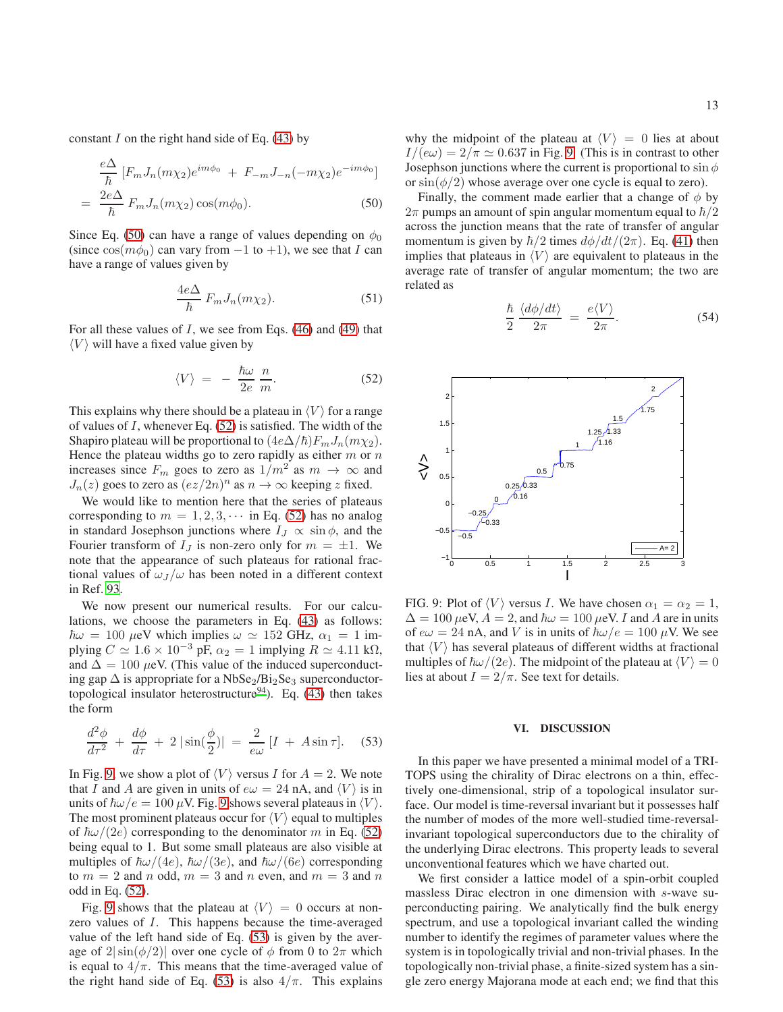constant  $I$  on the right hand side of Eq. [\(43\)](#page-11-2) by

<span id="page-12-1"></span>
$$
\frac{e\Delta}{\hbar} \left[ F_m J_n(m\chi_2) e^{im\phi_0} + F_{-m} J_{-n}(-m\chi_2) e^{-im\phi_0} \right]
$$

$$
= \frac{2e\Delta}{\hbar} F_m J_n(m\chi_2) \cos(m\phi_0).
$$
(50)

Since Eq. [\(50\)](#page-12-1) can have a range of values depending on  $\phi_0$ (since  $cos(m\phi_0)$  can vary from  $-1$  to  $+1$ ), we see that I can have a range of values given by

$$
\frac{4e\Delta}{\hbar} F_m J_n(m\chi_2). \tag{51}
$$

For all these values of  $I$ , we see from Eqs. [\(46\)](#page-11-6) and [\(49\)](#page-11-7) that  $\langle V \rangle$  will have a fixed value given by

<span id="page-12-2"></span>
$$
\langle V \rangle = -\frac{\hbar \omega}{2e} \frac{n}{m}.
$$
 (52)

This explains why there should be a plateau in  $\langle V \rangle$  for a range of values of  $I$ , whenever Eq. [\(52\)](#page-12-2) is satisfied. The width of the Shapiro plateau will be proportional to  $(4e\Delta/\hbar)F_mJ_n(m\chi_2)$ . Hence the plateau widths go to zero rapidly as either  $m$  or  $n$ increases since  $F_m$  goes to zero as  $1/m^2$  as  $m \to \infty$  and  $J_n(z)$  goes to zero as  $(ez/2n)^n$  as  $n \to \infty$  keeping z fixed.

We would like to mention here that the series of plateaus corresponding to  $m = 1, 2, 3, \cdots$  in Eq. [\(52\)](#page-12-2) has no analog in standard Josephson junctions where  $I_J \propto \sin \phi$ , and the Fourier transform of  $I_J$  is non-zero only for  $m = \pm 1$ . We note that the appearance of such plateaus for rational fractional values of  $\omega_J/\omega$  has been noted in a different context in Ref. [93.](#page-15-21)

We now present our numerical results. For our calculations, we choose the parameters in Eq. [\(43\)](#page-11-2) as follows:  $\hbar\omega = 100 \text{ }\mu\text{eV}$  which implies  $\omega \simeq 152 \text{ GHz}, \alpha_1 = 1 \text{ im}$ plying  $C \simeq 1.6 \times 10^{-3}$  pF,  $\alpha_2 = 1$  implying  $R \simeq 4.11$  kΩ, and  $\Delta = 100 \mu$ eV. (This value of the induced superconducting gap  $\Delta$  is appropriate for a NbSe<sub>2</sub>/Bi<sub>2</sub>Se<sub>3</sub> superconductor-topological insulator heterostructure<sup>[94](#page-15-22)</sup>). Eq. [\(43\)](#page-11-2) then takes the form

<span id="page-12-4"></span>
$$
\frac{d^2\phi}{d\tau^2} + \frac{d\phi}{d\tau} + 2\left|\sin(\frac{\phi}{2})\right| = \frac{2}{e\omega}\left[I + A\sin\tau\right].\tag{53}
$$

In Fig. [9,](#page-12-3) we show a plot of  $\langle V \rangle$  versus I for  $A = 2$ . We note that I and A are given in units of  $e\omega = 24$  nA, and  $\langle V \rangle$  is in units of  $\hbar \omega / e = 100 \mu V$ . Fig. [9](#page-12-3) shows several plateaus in  $\langle V \rangle$ . The most prominent plateaus occur for  $\langle V \rangle$  equal to multiples of  $\hbar\omega/(2e)$  corresponding to the denominator m in Eq. [\(52\)](#page-12-2) being equal to 1. But some small plateaus are also visible at multiples of  $\hbar\omega/(4e)$ ,  $\hbar\omega/(3e)$ , and  $\hbar\omega/(6e)$  corresponding to  $m = 2$  and n odd,  $m = 3$  and n even, and  $m = 3$  and n odd in Eq. [\(52\)](#page-12-2).

Fig. [9](#page-12-3) shows that the plateau at  $\langle V \rangle = 0$  occurs at nonzero values of I. This happens because the time-averaged value of the left hand side of Eq. [\(53\)](#page-12-4) is given by the average of  $2|\sin(\phi/2)|$  over one cycle of  $\phi$  from 0 to  $2\pi$  which is equal to  $4/\pi$ . This means that the time-averaged value of the right hand side of Eq. [\(53\)](#page-12-4) is also  $4/\pi$ . This explains

why the midpoint of the plateau at  $\langle V \rangle = 0$  lies at about  $I/(e\omega) = 2/\pi \simeq 0.637$  in Fig. [9.](#page-12-3) (This is in contrast to other Josephson junctions where the current is proportional to  $\sin \phi$ or  $\sin(\phi/2)$  whose average over one cycle is equal to zero).

Finally, the comment made earlier that a change of  $\phi$  by  $2\pi$  pumps an amount of spin angular momentum equal to  $\hbar/2$ across the junction means that the rate of transfer of angular momentum is given by  $\hbar/2$  times  $d\phi/dt/(2\pi)$ . Eq. [\(41\)](#page-11-0) then implies that plateaus in  $\langle V \rangle$  are equivalent to plateaus in the average rate of transfer of angular momentum; the two are related as

$$
\frac{\hbar}{2} \frac{\langle d\phi/dt \rangle}{2\pi} = \frac{e\langle V \rangle}{2\pi}.
$$
\n(54)

<span id="page-12-3"></span>

FIG. 9: Plot of  $\langle V \rangle$  versus *I*. We have chosen  $\alpha_1 = \alpha_2 = 1$ ,  $\Delta = 100 \,\mu\text{eV}$ ,  $A = 2$ , and  $\hbar\omega = 100 \,\mu\text{eV}$ . I and A are in units of  $e\omega = 24$  nA, and V is in units of  $\hbar\omega/e = 100 \mu V$ . We see that  $\langle V \rangle$  has several plateaus of different widths at fractional multiples of  $\hbar \omega/(2e)$ . The midpoint of the plateau at  $\langle V \rangle = 0$ lies at about  $I = 2/\pi$ . See text for details.

### <span id="page-12-0"></span>VI. DISCUSSION

In this paper we have presented a minimal model of a TRI-TOPS using the chirality of Dirac electrons on a thin, effectively one-dimensional, strip of a topological insulator surface. Our model is time-reversal invariant but it possesses half the number of modes of the more well-studied time-reversalinvariant topological superconductors due to the chirality of the underlying Dirac electrons. This property leads to several unconventional features which we have charted out.

We first consider a lattice model of a spin-orbit coupled massless Dirac electron in one dimension with s-wave superconducting pairing. We analytically find the bulk energy spectrum, and use a topological invariant called the winding number to identify the regimes of parameter values where the system is in topologically trivial and non-trivial phases. In the topologically non-trivial phase, a finite-sized system has a single zero energy Majorana mode at each end; we find that this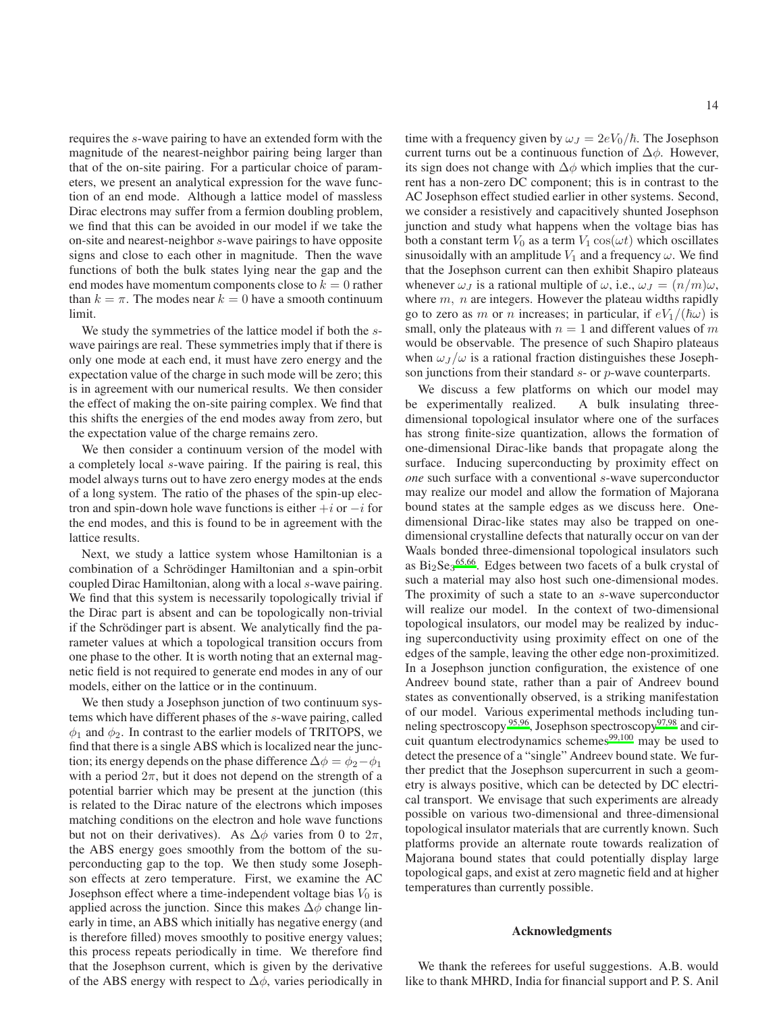requires the s-wave pairing to have an extended form with the magnitude of the nearest-neighbor pairing being larger than that of the on-site pairing. For a particular choice of parameters, we present an analytical expression for the wave function of an end mode. Although a lattice model of massless Dirac electrons may suffer from a fermion doubling problem, we find that this can be avoided in our model if we take the on-site and nearest-neighbor s-wave pairings to have opposite signs and close to each other in magnitude. Then the wave functions of both the bulk states lying near the gap and the end modes have momentum components close to  $k = 0$  rather than  $k = \pi$ . The modes near  $k = 0$  have a smooth continuum limit.

We study the symmetries of the lattice model if both the swave pairings are real. These symmetries imply that if there is only one mode at each end, it must have zero energy and the expectation value of the charge in such mode will be zero; this is in agreement with our numerical results. We then consider the effect of making the on-site pairing complex. We find that this shifts the energies of the end modes away from zero, but the expectation value of the charge remains zero.

We then consider a continuum version of the model with a completely local s-wave pairing. If the pairing is real, this model always turns out to have zero energy modes at the ends of a long system. The ratio of the phases of the spin-up electron and spin-down hole wave functions is either  $+i$  or  $-i$  for the end modes, and this is found to be in agreement with the lattice results.

Next, we study a lattice system whose Hamiltonian is a combination of a Schrödinger Hamiltonian and a spin-orbit coupled Dirac Hamiltonian, along with a local s-wave pairing. We find that this system is necessarily topologically trivial if the Dirac part is absent and can be topologically non-trivial if the Schrödinger part is absent. We analytically find the parameter values at which a topological transition occurs from one phase to the other. It is worth noting that an external magnetic field is not required to generate end modes in any of our models, either on the lattice or in the continuum.

We then study a Josephson junction of two continuum systems which have different phases of the s-wave pairing, called  $\phi_1$  and  $\phi_2$ . In contrast to the earlier models of TRITOPS, we find that there is a single ABS which is localized near the junction; its energy depends on the phase difference  $\Delta \phi = \phi_2 - \phi_1$ with a period  $2\pi$ , but it does not depend on the strength of a potential barrier which may be present at the junction (this is related to the Dirac nature of the electrons which imposes matching conditions on the electron and hole wave functions but not on their derivatives). As  $\Delta \phi$  varies from 0 to  $2\pi$ , the ABS energy goes smoothly from the bottom of the superconducting gap to the top. We then study some Josephson effects at zero temperature. First, we examine the AC Josephson effect where a time-independent voltage bias  $V_0$  is applied across the junction. Since this makes  $\Delta \phi$  change linearly in time, an ABS which initially has negative energy (and is therefore filled) moves smoothly to positive energy values; this process repeats periodically in time. We therefore find that the Josephson current, which is given by the derivative of the ABS energy with respect to  $\Delta\phi$ , varies periodically in time with a frequency given by  $\omega_J = 2eV_0/\hbar$ . The Josephson current turns out be a continuous function of  $\Delta \phi$ . However, its sign does not change with  $\Delta\phi$  which implies that the current has a non-zero DC component; this is in contrast to the AC Josephson effect studied earlier in other systems. Second, we consider a resistively and capacitively shunted Josephson junction and study what happens when the voltage bias has both a constant term  $V_0$  as a term  $V_1 \cos(\omega t)$  which oscillates sinusoidally with an amplitude  $V_1$  and a frequency  $\omega$ . We find that the Josephson current can then exhibit Shapiro plateaus whenever  $\omega_{J}$  is a rational multiple of  $\omega$ , i.e.,  $\omega_{J} = (n/m)\omega$ , where  $m$ ,  $n$  are integers. However the plateau widths rapidly go to zero as m or n increases; in particular, if  $eV_1/(\hbar\omega)$  is small, only the plateaus with  $n = 1$  and different values of m

would be observable. The presence of such Shapiro plateaus when  $\omega_J/\omega$  is a rational fraction distinguishes these Joseph-

son junctions from their standard s- or p-wave counterparts. We discuss a few platforms on which our model may be experimentally realized. A bulk insulating threedimensional topological insulator where one of the surfaces has strong finite-size quantization, allows the formation of one-dimensional Dirac-like bands that propagate along the surface. Inducing superconducting by proximity effect on *one* such surface with a conventional s-wave superconductor may realize our model and allow the formation of Majorana bound states at the sample edges as we discuss here. Onedimensional Dirac-like states may also be trapped on onedimensional crystalline defects that naturally occur on van der Waals bonded three-dimensional topological insulators such as  $Bi<sub>2</sub>Se<sub>3</sub><sup>65,66</sup>$  $Bi<sub>2</sub>Se<sub>3</sub><sup>65,66</sup>$  $Bi<sub>2</sub>Se<sub>3</sub><sup>65,66</sup>$  $Bi<sub>2</sub>Se<sub>3</sub><sup>65,66</sup>$ . Edges between two facets of a bulk crystal of such a material may also host such one-dimensional modes. The proximity of such a state to an s-wave superconductor will realize our model. In the context of two-dimensional topological insulators, our model may be realized by inducing superconductivity using proximity effect on one of the edges of the sample, leaving the other edge non-proximitized. In a Josephson junction configuration, the existence of one Andreev bound state, rather than a pair of Andreev bound states as conventionally observed, is a striking manifestation of our model. Various experimental methods including tunneling spectroscopy  $95,96$  $95,96$ , Josephson spectroscopy  $97,98$  $97,98$  and circuit quantum electrodynamics schemes $99,100$  $99,100$  may be used to detect the presence of a "single" Andreev bound state. We further predict that the Josephson supercurrent in such a geometry is always positive, which can be detected by DC electrical transport. We envisage that such experiments are already possible on various two-dimensional and three-dimensional topological insulator materials that are currently known. Such platforms provide an alternate route towards realization of Majorana bound states that could potentially display large topological gaps, and exist at zero magnetic field and at higher temperatures than currently possible.

#### Acknowledgments

We thank the referees for useful suggestions. A.B. would like to thank MHRD, India for financial support and P. S. Anil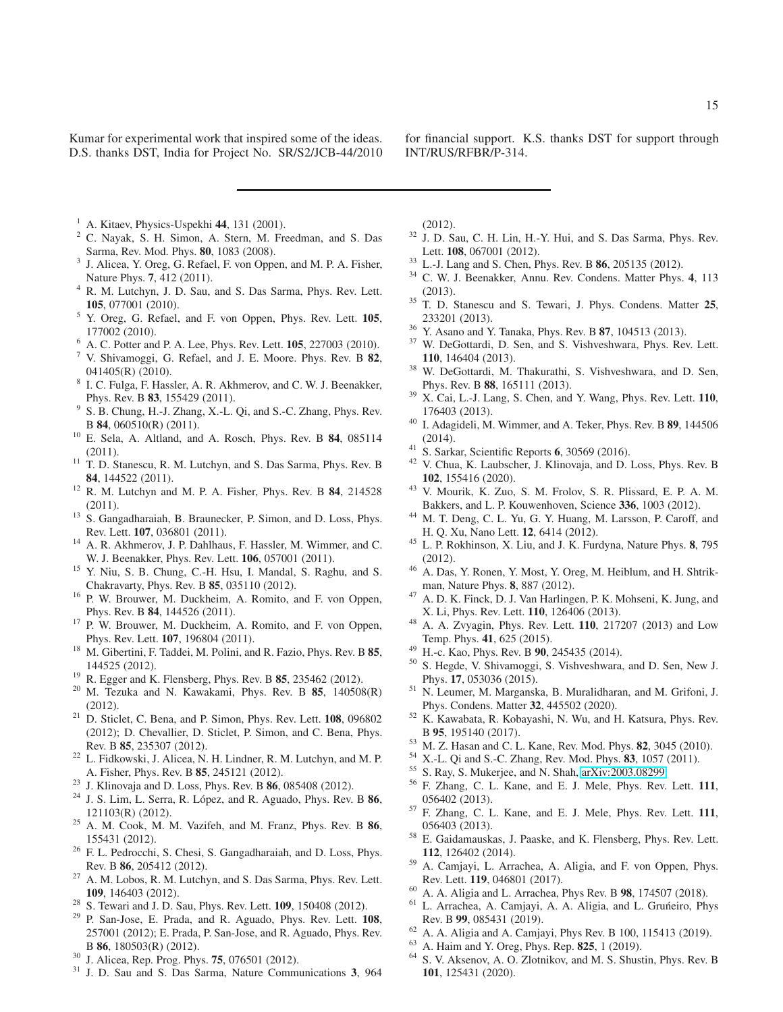Kumar for experimental work that inspired some of the ideas. D.S. thanks DST, India for Project No. SR/S2/JCB-44/2010 for financial support. K.S. thanks DST for support through INT/RUS/RFBR/P-314.

- <span id="page-14-0"></span> $1$  A. Kitaev, Physics-Uspekhi 44, 131 (2001).
- <span id="page-14-1"></span><sup>2</sup> C. Nayak, S. H. Simon, A. Stern, M. Freedman, and S. Das Sarma, Rev. Mod. Phys. 80, 1083 (2008).
- <span id="page-14-2"></span><sup>3</sup> J. Alicea, Y. Oreg, G. Refael, F. von Oppen, and M. P. A. Fisher, Nature Phys. 7, 412 (2011).
- <span id="page-14-3"></span><sup>4</sup> R. M. Lutchyn, J. D. Sau, and S. Das Sarma, Phys. Rev. Lett. 105, 077001 (2010).
- <sup>5</sup> Y. Oreg, G. Refael, and F. von Oppen, Phys. Rev. Lett. 105, 177002 (2010).
- $6$  A. C. Potter and P. A. Lee, Phys. Rev. Lett.  $105$ , 227003 (2010).
- <sup>7</sup> V. Shivamoggi, G. Refael, and J. E. Moore. Phys. Rev. B 82, 041405(R) (2010).
- 8 I. C. Fulga, F. Hassler, A. R. Akhmerov, and C. W. J. Beenakker, Phys. Rev. B 83, 155429 (2011).
- 9 S. B. Chung, H.-J. Zhang, X.-L. Qi, and S.-C. Zhang, Phys. Rev. B 84, 060510(R) (2011).
- <sup>10</sup> E. Sela, A. Altland, and A. Rosch, Phys. Rev. B 84, 085114 (2011).
- <sup>11</sup> T. D. Stanescu, R. M. Lutchyn, and S. Das Sarma, Phys. Rev. B 84, 144522 (2011).
- <sup>12</sup> R. M. Lutchyn and M. P. A. Fisher, Phys. Rev. B **84**, 214528 (2011).
- <sup>13</sup> S. Gangadharaiah, B. Braunecker, P. Simon, and D. Loss, Phys. Rev. Lett. 107, 036801 (2011).
- <sup>14</sup> A. R. Akhmerov, J. P. Dahlhaus, F. Hassler, M. Wimmer, and C. W. J. Beenakker, Phys. Rev. Lett. 106, 057001 (2011).
- <sup>15</sup> Y. Niu, S. B. Chung, C.-H. Hsu, I. Mandal, S. Raghu, and S. Chakravarty, Phys. Rev. B 85, 035110 (2012).
- <sup>16</sup> P. W. Brouwer, M. Duckheim, A. Romito, and F. von Oppen, Phys. Rev. B 84, 144526 (2011).
- <sup>17</sup> P. W. Brouwer, M. Duckheim, A. Romito, and F. von Oppen, Phys. Rev. Lett. 107, 196804 (2011).
- <sup>18</sup> M. Gibertini, F. Taddei, M. Polini, and R. Fazio, Phys. Rev. B 85, 144525 (2012).
- <sup>19</sup> R. Egger and K. Flensberg, Phys. Rev. B 85, 235462 (2012).
- $20$  M. Tezuka and N. Kawakami, Phys. Rev. B  $85$ ,  $140508(R)$ (2012).
- <sup>21</sup> D. Sticlet, C. Bena, and P. Simon, Phys. Rev. Lett. **108**, 096802 (2012); D. Chevallier, D. Sticlet, P. Simon, and C. Bena, Phys. Rev. B 85, 235307 (2012).
- <sup>22</sup> L. Fidkowski, J. Alicea, N. H. Lindner, R. M. Lutchyn, and M. P. A. Fisher, Phys. Rev. B 85, 245121 (2012).
- <sup>23</sup> J. Klinovaja and D. Loss, Phys. Rev. B 86, 085408 (2012).
- $24$  J. S. Lim, L. Serra, R. López, and R. Aguado, Phys. Rev. B  $86$ , 121103(R) (2012).
- <sup>25</sup> A. M. Cook, M. M. Vazifeh, and M. Franz, Phys. Rev. B 86, 155431 (2012).
- <sup>26</sup> F. L. Pedrocchi, S. Chesi, S. Gangadharaiah, and D. Loss, Phys. Rev. B 86, 205412 (2012).
- <sup>27</sup> A. M. Lobos, R. M. Lutchyn, and S. Das Sarma, Phys. Rev. Lett. 109, 146403 (2012).
- <sup>28</sup> S. Tewari and J. D. Sau, Phys. Rev. Lett. 109, 150408 (2012).
- <sup>29</sup> P. San-Jose, E. Prada, and R. Aguado, Phys. Rev. Lett. **108**, 257001 (2012); E. Prada, P. San-Jose, and R. Aguado, Phys. Rev. B 86, 180503(R) (2012).
- <sup>30</sup> J. Alicea, Rep. Prog. Phys. 75, 076501 (2012).
- <sup>31</sup> J. D. Sau and S. Das Sarma, Nature Communications 3, 964

(2012).

- <sup>32</sup> J. D. Sau, C. H. Lin, H.-Y. Hui, and S. Das Sarma, Phys. Rev. Lett. 108, 067001 (2012).
- <sup>33</sup> L.-J. Lang and S. Chen, Phys. Rev. B 86, 205135 (2012).
- <sup>34</sup> C. W. J. Beenakker, Annu. Rev. Condens. Matter Phys. 4, 113 (2013).
- <sup>35</sup> T. D. Stanescu and S. Tewari, J. Phys. Condens. Matter 25, 233201 (2013).
- <sup>36</sup> Y. Asano and Y. Tanaka, Phys. Rev. B 87, 104513 (2013).
- <sup>37</sup> W. DeGottardi, D. Sen, and S. Vishveshwara, Phys. Rev. Lett. 110, 146404 (2013).
- <sup>38</sup> W. DeGottardi, M. Thakurathi, S. Vishveshwara, and D. Sen, Phys. Rev. B 88, 165111 (2013).
- $39$  X. Cai, L.-J. Lang, S. Chen, and Y. Wang, Phys. Rev. Lett. 110, 176403 (2013).
- <sup>40</sup> I. Adagideli, M. Wimmer, and A. Teker, Phys. Rev. B 89, 144506 (2014).
- $41$  S. Sarkar, Scientific Reports 6, 30569 (2016).
- <span id="page-14-4"></span><sup>42</sup> V. Chua, K. Laubscher, J. Klinovaja, and D. Loss, Phys. Rev. B 102, 155416 (2020).
- <span id="page-14-5"></span><sup>43</sup> V. Mourik, K. Zuo, S. M. Frolov, S. R. Plissard, E. P. A. M. Bakkers, and L. P. Kouwenhoven, Science 336, 1003 (2012).
- <sup>44</sup> M. T. Deng, C. L. Yu, G. Y. Huang, M. Larsson, P. Caroff, and H. Q. Xu, Nano Lett. 12, 6414 (2012).
- <span id="page-14-15"></span><sup>45</sup> L. P. Rokhinson, X. Liu, and J. K. Furdyna, Nature Phys. 8, 795 (2012).
- <sup>46</sup> A. Das, Y. Ronen, Y. Most, Y. Oreg, M. Heiblum, and H. Shtrikman, Nature Phys. 8, 887 (2012).
- <span id="page-14-6"></span><sup>47</sup> A. D. K. Finck, D. J. Van Harlingen, P. K. Mohseni, K. Jung, and X. Li, Phys. Rev. Lett. 110, 126406 (2013).
- <span id="page-14-7"></span><sup>48</sup> A. A. Zvyagin, Phys. Rev. Lett. 110, 217207 (2013) and Low Temp. Phys. 41, 625 (2015).
- <sup>49</sup> H.-c. Kao, Phys. Rev. B 90, 245435 (2014).
- <sup>50</sup> S. Hegde, V. Shivamoggi, S. Vishveshwara, and D. Sen, New J. Phys. 17, 053036 (2015).
- <sup>51</sup> N. Leumer, M. Marganska, B. Muralidharan, and M. Grifoni, J. Phys. Condens. Matter 32, 445502 (2020).
- <span id="page-14-8"></span><sup>52</sup> K. Kawabata, R. Kobayashi, N. Wu, and H. Katsura, Phys. Rev. B 95, 195140 (2017).
- <span id="page-14-9"></span><sup>53</sup> M. Z. Hasan and C. L. Kane, Rev. Mod. Phys. 82, 3045 (2010).
- <span id="page-14-10"></span><sup>54</sup> X.-L. Qi and S.-C. Zhang, Rev. Mod. Phys. 83, 1057 (2011).
- <span id="page-14-11"></span><sup>55</sup> S. Ray, S. Mukerjee, and N. Shah, [arXiv:2003.08299.](http://arxiv.org/abs/2003.08299)
- <span id="page-14-12"></span><sup>56</sup> F. Zhang, C. L. Kane, and E. J. Mele, Phys. Rev. Lett. 111, 056402 (2013).
- <sup>57</sup> F. Zhang, C. L. Kane, and E. J. Mele, Phys. Rev. Lett. 111, 056403 (2013).
- <sup>58</sup> E. Gaidamauskas, J. Paaske, and K. Flensberg, Phys. Rev. Lett. 112, 126402 (2014).
- <sup>59</sup> A. Camjayi, L. Arrachea, A. Aligia, and F. von Oppen, Phys. Rev. Lett. 119, 046801 (2017).
- <sup>60</sup> A. A. Aligia and L. Arrachea, Phys Rev. B 98, 174507 (2018).
- <sup>61</sup> L. Arrachea, A. Camjayi, A. A. Aligia, and L. Gruńeiro, Phys Rev. B 99, 085431 (2019).
- $62$  A. A. Aligia and A. Camjayi, Phys Rev. B 100, 115413 (2019).
- <span id="page-14-14"></span><sup>63</sup> A. Haim and Y. Oreg, Phys. Rep. 825, 1 (2019).
- <span id="page-14-13"></span><sup>64</sup> S. V. Aksenov, A. O. Zlotnikov, and M. S. Shustin, Phys. Rev. B 101, 125431 (2020).